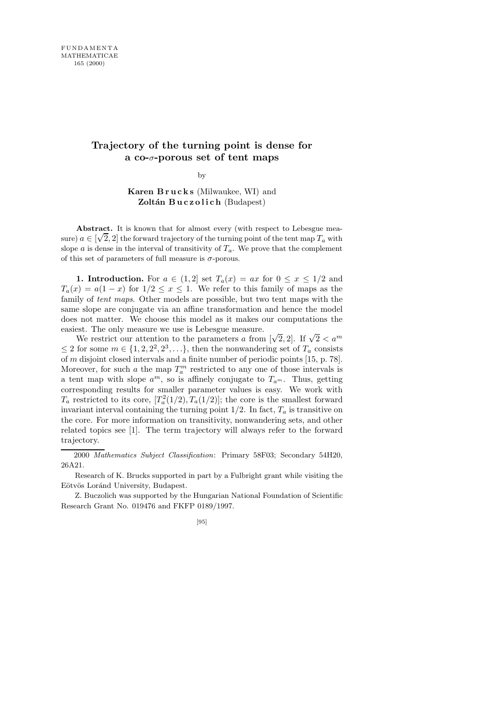## **Trajectory of the turning point is dense for a co-**σ**-porous set of tent maps**

by

Karen Brucks (Milwaukee, WI) and Zoltán Buczolich (Budapest)

Abstract. It is known that for almost every (with respect to Lebesgue measure)  $a \in [\sqrt{2}, 2]$  the forward trajectory of the turning point of the tent map  $T_a$  with slope a is dense in the interval of transitivity of  $T_a$ . We prove that the complement of this set of parameters of full measure is  $\sigma$ -porous.

1. Introduction. For  $a \in (1,2]$  set  $T_a(x) = ax$  for  $0 \le x \le 1/2$  and  $T_a(x) = a(1-x)$  for  $1/2 \le x \le 1$ . We refer to this family of maps as the family of tent maps. Other models are possible, but two tent maps with the same slope are conjugate via an affine transformation and hence the model does not matter. We choose this model as it makes our computations the easiest. The only measure we use is Lebesgue measure.

We restrict our attention to the parameters a from  $[\sqrt{2}, 2]$ . If  $\sqrt{2} < a^m$  $\leq 2$  for some  $m \in \{1, 2, 2^2, 2^3, \ldots\}$ , then the nonwandering set of  $T_a$  consists of m disjoint closed intervals and a finite number of periodic points [15, p. 78]. Moreover, for such a the map  $T_a^m$  restricted to any one of those intervals is a tent map with slope  $a^m$ , so is affinely conjugate to  $T_{a^m}$ . Thus, getting corresponding results for smaller parameter values is easy. We work with  $T_a$  restricted to its core,  $[T_a^2(1/2), T_a(1/2)]$ ; the core is the smallest forward invariant interval containing the turning point  $1/2$ . In fact,  $T_a$  is transitive on the core. For more information on transitivity, nonwandering sets, and other related topics see [1]. The term trajectory will always refer to the forward trajectory.

2000 *Mathematics Subject Classification*: Primary 58F03; Secondary 54H20, 26A21.

Research of K. Brucks supported in part by a Fulbright grant while visiting the Eötvös Loránd University, Budapest.

Z. Buczolich was supported by the Hungarian National Foundation of Scientific Research Grant No. 019476 and FKFP 0189/1997.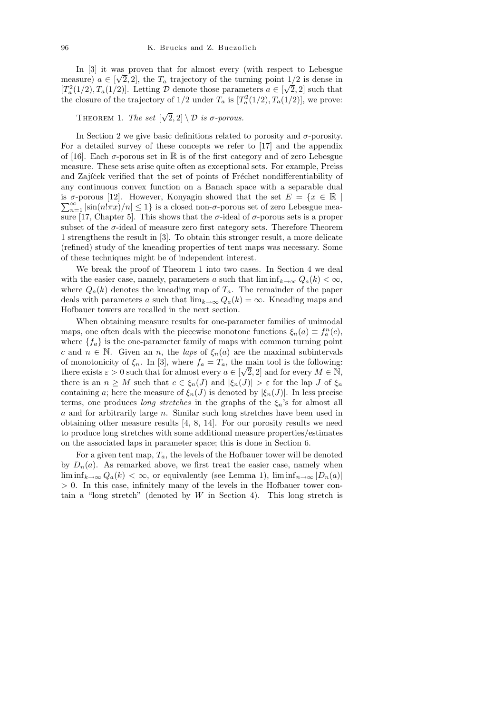In [3] it was proven that for almost every (with respect to Lebesgue measure)  $a \in [\sqrt{2}, 2]$ , the  $T_a$  trajectory of the turning point  $1/2$  is dense in  $[T_a^2(1/2), T_a(1/2)]$ . Letting D denote those parameters  $a \in [\sqrt{2}, 2]$  such that the closure of the trajectory of  $1/2$  under  $T_a$  is  $[T_a^2(1/2), T_a(1/2)]$ , we prove:

THEOREM 1. The set  $[\sqrt{2}, 2] \setminus \mathcal{D}$  is  $\sigma$ -porous.

In Section 2 we give basic definitions related to porosity and  $\sigma$ -porosity. For a detailed survey of these concepts we refer to [17] and the appendix of [16]. Each  $\sigma$ -porous set in  $\mathbb R$  is of the first category and of zero Lebesgue measure. These sets arise quite often as exceptional sets. For example, Preiss and Zajíček verified that the set of points of Fréchet nondifferentiability of any continuous convex function on a Banach space with a separable dual is  $\sigma$ -porous [12]. However, Konyagin showed that the set  $E = \{x \in \mathbb{R} \mid \sum_{n=1}^{\infty} |\sin(n|\pi x)/n| \leq 1\}$  is a closed non- $\sigma$ -porous set of zero Lebesgue mea- $\sum_{n=1}^{\infty} |\sin(n!\pi x)/n| \leq 1$  is a closed non- $\sigma$ -porous set of zero Lebesgue measure [17, Chapter 5]. This shows that the  $\sigma$ -ideal of  $\sigma$ -porous sets is a proper subset of the σ-ideal of measure zero first category sets. Therefore Theorem 1 strengthens the result in [3]. To obtain this stronger result, a more delicate (refined) study of the kneading properties of tent maps was necessary. Some of these techniques might be of independent interest.

We break the proof of Theorem 1 into two cases. In Section 4 we deal with the easier case, namely, parameters a such that  $\liminf_{k\to\infty} Q_a(k) < \infty$ , where  $Q_a(k)$  denotes the kneading map of  $T_a$ . The remainder of the paper deals with parameters a such that  $\lim_{k\to\infty} Q_a(k) = \infty$ . Kneading maps and Hofbauer towers are recalled in the next section.

When obtaining measure results for one-parameter families of unimodal maps, one often deals with the piecewise monotone functions  $\xi_n(a) \equiv f_a^n(c)$ , where  ${f_a}$  is the one-parameter family of maps with common turning point c and  $n \in \mathbb{N}$ . Given an n, the laps of  $\xi_n(a)$  are the maximal subintervals of monotonicity of  $\xi_n$ . In [3], where  $f_a = T_a$ , the main tool is the following: there exists  $\varepsilon > 0$  such that for almost every  $a \in [\sqrt{2}, 2]$  and for every  $M \in \mathbb{N}$ , there is an  $n \geq M$  such that  $c \in \xi_n(J)$  and  $|\xi_n(J)| > \varepsilon$  for the lap J of  $\xi_n$ containing a; here the measure of  $\xi_n(J)$  is denoted by  $|\xi_n(J)|$ . In less precise terms, one produces *long stretches* in the graphs of the  $\xi_n$ 's for almost all a and for arbitrarily large n. Similar such long stretches have been used in obtaining other measure results [4, 8, 14]. For our porosity results we need to produce long stretches with some additional measure properties/estimates on the associated laps in parameter space; this is done in Section 6.

For a given tent map,  $T_a$ , the levels of the Hofbauer tower will be denoted by  $D_n(a)$ . As remarked above, we first treat the easier case, namely when  $\liminf_{k\to\infty} Q_a(k) < \infty$ , or equivalently (see Lemma 1),  $\liminf_{n\to\infty} |D_n(a)|$  $> 0$ . In this case, infinitely many of the levels in the Hofbauer tower contain a "long stretch" (denoted by  $W$  in Section 4). This long stretch is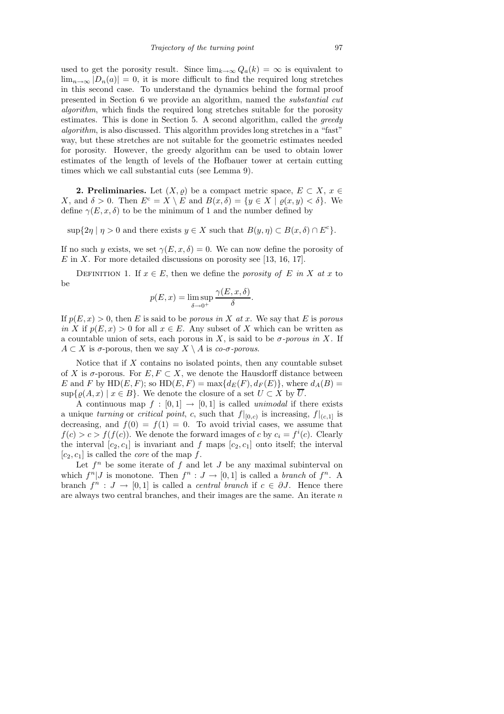used to get the porosity result. Since  $\lim_{k\to\infty} Q_a(k) = \infty$  is equivalent to  $\lim_{n\to\infty} |D_n(a)| = 0$ , it is more difficult to find the required long stretches in this second case. To understand the dynamics behind the formal proof presented in Section 6 we provide an algorithm, named the substantial cut algorithm, which finds the required long stretches suitable for the porosity estimates. This is done in Section 5. A second algorithm, called the greedy algorithm, is also discussed. This algorithm provides long stretches in a "fast" way, but these stretches are not suitable for the geometric estimates needed for porosity. However, the greedy algorithm can be used to obtain lower estimates of the length of levels of the Hofbauer tower at certain cutting times which we call substantial cuts (see Lemma 9).

**2. Preliminaries.** Let  $(X, \rho)$  be a compact metric space,  $E \subset X$ ,  $x \in \mathbb{R}$ X, and  $\delta > 0$ . Then  $E^c = X \setminus E$  and  $B(x, \delta) = \{y \in X \mid \rho(x, y) < \delta\}$ . We define  $\gamma(E, x, \delta)$  to be the minimum of 1 and the number defined by

 $\sup\{2\eta \mid \eta > 0 \text{ and there exists } y \in X \text{ such that } B(y, \eta) \subset B(x, \delta) \cap E^c\}.$ 

If no such y exists, we set  $\gamma(E, x, \delta) = 0$ . We can now define the porosity of  $E$  in X. For more detailed discussions on porosity see [13, 16, 17].

DEFINITION 1. If  $x \in E$ , then we define the porosity of E in X at x to be

$$
p(E, x) = \limsup_{\delta \to 0^+} \frac{\gamma(E, x, \delta)}{\delta}
$$

.

If  $p(E, x) > 0$ , then E is said to be porous in X at x. We say that E is porous in X if  $p(E, x) > 0$  for all  $x \in E$ . Any subset of X which can be written as a countable union of sets, each porous in X, is said to be  $\sigma$ -porous in X. If  $A \subset X$  is  $\sigma$ -porous, then we say  $X \setminus A$  is co- $\sigma$ -porous.

Notice that if  $X$  contains no isolated points, then any countable subset of X is  $\sigma$ -porous. For  $E, F \subset X$ , we denote the Hausdorff distance between E and F by HD(E, F); so HD(E, F) = max $\{d_E(F), d_F(E)\}\$ , where  $d_A(B)$  =  $\sup\{\varrho(A,x) \mid x \in B\}$ . We denote the closure of a set  $U \subset X$  by  $\overline{U}$ .

A continuous map  $f : [0,1] \rightarrow [0,1]$  is called unimodal if there exists a unique turning or critical point, c, such that  $f|_{[0,c)}$  is increasing,  $f|_{(c,1]}$  is decreasing, and  $f(0) = f(1) = 0$ . To avoid trivial cases, we assume that  $f(c) > c > f(f(c))$ . We denote the forward images of c by  $c_i = f^i(c)$ . Clearly the interval  $[c_2, c_1]$  is invariant and f maps  $[c_2, c_1]$  onto itself; the interval  $[c_2, c_1]$  is called the *core* of the map  $f$ .

Let  $f^n$  be some iterate of  $f$  and let  $J$  be any maximal subinterval on which  $f^n | J$  is monotone. Then  $f^n : J \to [0,1]$  is called a *branch* of  $f^n$ . A branch  $f^n: J \to [0,1]$  is called a *central branch* if  $c \in \partial J$ . Hence there are always two central branches, and their images are the same. An iterate  $n$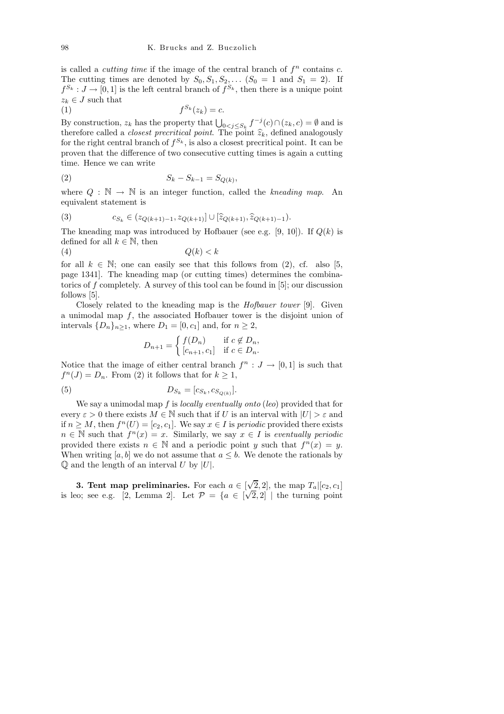is called a *cutting time* if the image of the central branch of  $f<sup>n</sup>$  contains  $c$ . The cutting times are denoted by  $S_0, S_1, S_2, \ldots$   $(S_0 = 1 \text{ and } S_1 = 2)$ . If  $f^{S_k}: J \to [0, 1]$  is the left central branch of  $f^{S_k}$ , then there is a unique point  $z_k \in J$  such that

$$
(1) \t\t f^{S_k}(z_k) = c.
$$

By construction,  $z_k$  has the property that  $\bigcup_{0 \le j \le S_k} f^{-j}(c) \cap (z_k, c) = \emptyset$  and is therefore called a *closest precritical point*. The point  $\hat{z}_k$ , defined analogously for the right central branch of  $f^{S_k}$ , is also a closest precritical point. It can be proven that the difference of two consecutive cutting times is again a cutting time. Hence we can write

(2) 
$$
S_k - S_{k-1} = S_{Q(k)},
$$

where  $Q : \mathbb{N} \to \mathbb{N}$  is an integer function, called the kneading map. An equivalent statement is

(3) 
$$
c_{S_k} \in (z_{Q(k+1)-1}, z_{Q(k+1)}] \cup [\widehat{z}_{Q(k+1)}, \widehat{z}_{Q(k+1)-1}).
$$

The kneading map was introduced by Hofbauer (see e.g. [9, 10]). If  $Q(k)$  is defined for all  $k \in \mathbb{N}$ , then

$$
(4) \tQ(k) < k
$$

for all  $k \in \mathbb{N}$ ; one can easily see that this follows from (2), cf. also [5, page 1341]. The kneading map (or cutting times) determines the combinatorics of f completely. A survey of this tool can be found in [5]; our discussion follows [5].

Closely related to the kneading map is the Hofbauer tower [9]. Given a unimodal map  $f$ , the associated Hofbauer tower is the disjoint union of intervals  $\{D_n\}_{n\geq 1}$ , where  $D_1 = [0, c_1]$  and, for  $n \geq 2$ ,

$$
D_{n+1} = \begin{cases} f(D_n) & \text{if } c \notin D_n, \\ [c_{n+1}, c_1] & \text{if } c \in D_n. \end{cases}
$$

Notice that the image of either central branch  $f^n: J \to [0,1]$  is such that  $f^{n}(J) = D_n$ . From (2) it follows that for  $k \geq 1$ ,

(5) 
$$
D_{S_k} = [c_{S_k}, c_{S_{Q(k)}}].
$$

We say a unimodal map f is *locally eventually onto (leo)* provided that for every  $\varepsilon > 0$  there exists  $M \in \mathbb{N}$  such that if U is an interval with  $|U| > \varepsilon$  and if  $n \geq M$ , then  $f^{n}(U) = [c_2, c_1]$ . We say  $x \in I$  is *periodic* provided there exists  $n \in \mathbb{N}$  such that  $f^{n}(x) = x$ . Similarly, we say  $x \in I$  is eventually periodic provided there exists  $n \in \mathbb{N}$  and a periodic point y such that  $f^{n}(x) = y$ . When writing [a, b] we do not assume that  $a \leq b$ . We denote the rationals by  $\mathbb Q$  and the length of an interval U by  $|U|$ .

**3. Tent map preliminaries.** For each  $a \in [\sqrt{2}, 2]$ , the map  $T_a | [c_2, c_1]$ is leo; see e.g. [2, Lemma 2]. Let  $\mathcal{P} = \{a \in [\sqrt{2}, 2] \mid \text{the turning point}\}$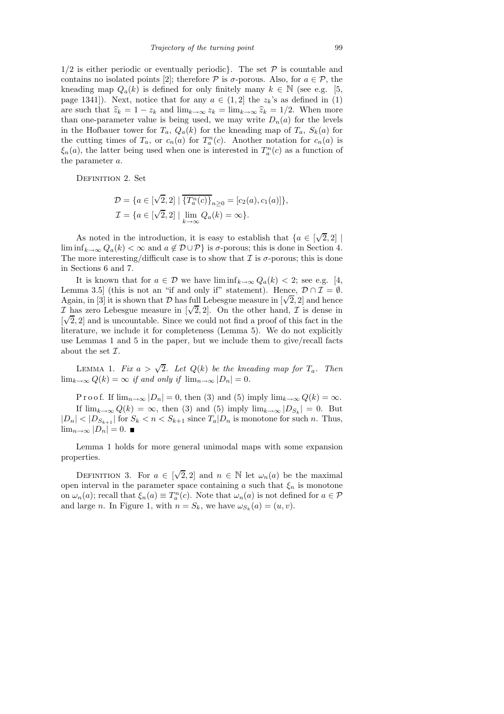$1/2$  is either periodic or eventually periodic}. The set  $P$  is countable and contains no isolated points [2]; therefore  $P$  is  $\sigma$ -porous. Also, for  $a \in P$ , the kneading map  $Q_a(k)$  is defined for only finitely many  $k \in \mathbb{N}$  (see e.g. [5, page 1341]). Next, notice that for any  $a \in (1,2]$  the  $z_k$ 's as defined in (1) are such that  $\hat{z}_k = 1 - z_k$  and  $\lim_{k \to \infty} z_k = \lim_{k \to \infty} \hat{z}_k = 1/2$ . When more than one-parameter value is being used, we may write  $D_n(a)$  for the levels in the Hofbauer tower for  $T_a$ ,  $Q_a(k)$  for the kneading map of  $T_a$ ,  $S_k(a)$  for the cutting times of  $T_a$ , or  $c_n(a)$  for  $T_a^n(c)$ . Another notation for  $c_n(a)$  is  $\xi_n(a)$ , the latter being used when one is interested in  $T_a^n(c)$  as a function of the parameter a.

DEFINITION 2. Set

$$
\mathcal{D} = \{a \in [\sqrt{2}, 2] \mid \overline{\{T_a^n(c)\}}_{n \ge 0} = [c_2(a), c_1(a)]\}, \mathcal{I} = \{a \in [\sqrt{2}, 2] \mid \lim_{k \to \infty} Q_a(k) = \infty\}.
$$

As noted in the introduction, it is easy to establish that  $\{a \in [\sqrt{2}, 2] \mid \}$ lim inf<sub>k→∞</sub>  $Q_a(k) < \infty$  and  $a \notin \mathcal{D} \cup \mathcal{P}$  is  $\sigma$ -porous; this is done in Section 4. The more interesting/difficult case is to show that  $\mathcal I$  is  $\sigma$ -porous; this is done in Sections 6 and 7.

It is known that for  $a \in \mathcal{D}$  we have  $\liminf_{k\to\infty} Q_a(k) < 2$ ; see e.g. [4, Lemma 3.5] (this is not an "if and only if" statement). Hence,  $\mathcal{D} \cap \mathcal{I} = \emptyset$ . Again, in [3] it is shown that D has full Lebesgue measure in  $[\sqrt{2}, 2]$  and hence  $\mathcal{I}$  has zero Lebesgue measure in  $[\sqrt{2}, 2]$ . On the other hand,  $\mathcal{I}$  is dense in  $[\sqrt{2}, 2]$  and is uncountable. Since we could not find a proof of this fact in the literature, we include it for completeness (Lemma 5). We do not explicitly use Lemmas 1 and 5 in the paper, but we include them to give/recall facts about the set  $\mathcal{I}.$ 

LEMMA 1. Fix  $a > \sqrt{2}$ . Let  $Q(k)$  be the kneading map for  $T_a$ . Then  $\lim_{k\to\infty} Q(k) = \infty$  if and only if  $\lim_{n\to\infty} |D_n| = 0$ .

P r o o f. If  $\lim_{n\to\infty}$   $|D_n|=0$ , then (3) and (5) imply  $\lim_{k\to\infty}$   $Q(k)=\infty$ . If  $\lim_{k\to\infty} Q(k) = \infty$ , then (3) and (5) imply  $\lim_{k\to\infty} |D_{S_k}| = 0$ . But  $|D_n| < |D_{S_{k+1}}|$  for  $S_k < n < S_{k+1}$  since  $T_a|D_n$  is monotone for such n. Thus,  $\lim_{n\to\infty}$  |D<sub>n</sub>| = 0. ■

Lemma 1 holds for more general unimodal maps with some expansion properties.

DEFINITION 3. For  $a \in [\sqrt{2}, 2]$  and  $n \in \mathbb{N}$  let  $\omega_n(a)$  be the maximal open interval in the parameter space containing a such that  $\xi_n$  is monotone on  $\omega_n(a)$ ; recall that  $\xi_n(a) \equiv T_a^n(c)$ . Note that  $\omega_n(a)$  is not defined for  $a \in \mathcal{P}$ and large *n*. In Figure 1, with  $n = S_k$ , we have  $\omega_{S_k}(a) = (u, v)$ .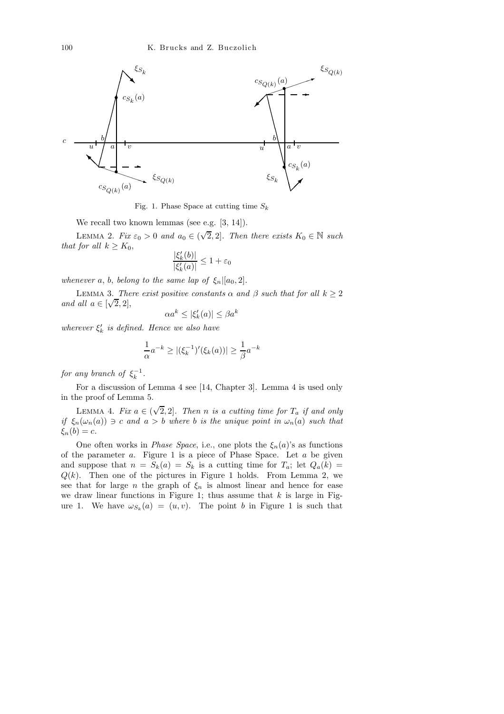

Fig. 1. Phase Space at cutting time *S<sup>k</sup>*

We recall two known lemmas (see e.g. [3, 14]).

LEMMA 2. Fix  $\varepsilon_0 > 0$  and  $a_0 \in (\sqrt{2}, 2]$ . Then there exists  $K_0 \in \mathbb{N}$  such that for all  $k \geq K_0$ ,

$$
\frac{|\xi_k'(b)|}{|\xi_k'(a)|}\leq 1+\varepsilon_0
$$

whenever a, b, belong to the same lap of  $\xi_n|[a_0,2]$ .

LEMMA 3. There exist positive constants  $\alpha$  and  $\beta$  such that for all  $k \geq 2$ and all  $a \in [\sqrt{2}, 2]$ ,

$$
\alpha a^k \le |\xi_k'(a)| \le \beta a^k
$$

wherever  $\xi'_k$  is defined. Hence we also have

$$
\frac{1}{\alpha}a^{-k} \ge |(\xi_k^{-1})'(\xi_k(a))| \ge \frac{1}{\beta}a^{-k}
$$

for any branch of  $\xi_k^{-1}$ .

For a discussion of Lemma 4 see [14, Chapter 3]. Lemma 4 is used only in the proof of Lemma 5.

LEMMA 4. Fix  $a \in (\sqrt{2}, 2]$ . Then n is a cutting time for  $T_a$  if and only if  $\xi_n(\omega_n(a)) \ni c$  and  $a > b$  where b is the unique point in  $\omega_n(a)$  such that  $\xi_n(b) = c.$ 

One often works in *Phase Space*, i.e., one plots the  $\xi_n(a)$ 's as functions of the parameter  $a$ . Figure 1 is a piece of Phase Space. Let  $a$  be given and suppose that  $n = S_k(a) = S_k$  is a cutting time for  $T_a$ ; let  $Q_a(k) =$  $Q(k)$ . Then one of the pictures in Figure 1 holds. From Lemma 2, we see that for large n the graph of  $\xi_n$  is almost linear and hence for ease we draw linear functions in Figure 1; thus assume that  $k$  is large in Figure 1. We have  $\omega_{S_k}(a) = (u, v)$ . The point b in Figure 1 is such that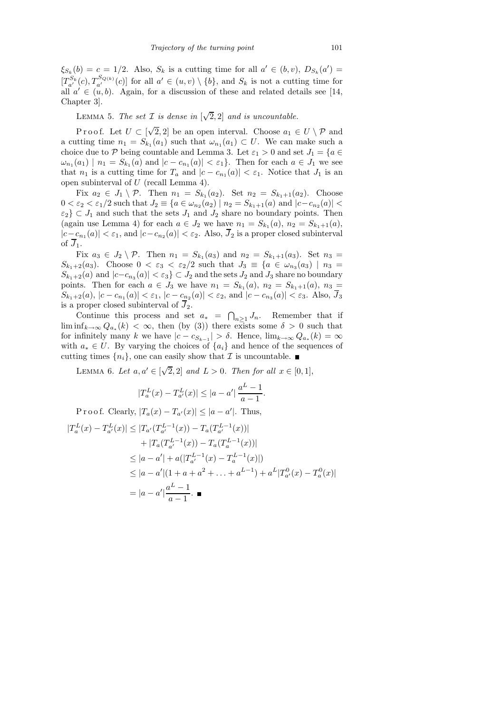$\xi_{S_k}(b) = c = 1/2$ . Also,  $S_k$  is a cutting time for all  $a' \in (b, v)$ ,  $D_{S_k}(a') =$  $[T_{a'}^{S_k}(c), T_{a'}^{S_{Q(k)}}(c)]$  for all  $a' \in (u, v) \setminus \{b\}$ , and  $S_k$  is not a cutting time for all  $a' \in (u, b)$ . Again, for a discussion of these and related details see [14, Chapter 3].

LEMMA 5. The set  $\mathcal I$  is dense in  $[\sqrt{2},2]$  and is uncountable.

Proof. Let  $U \subset [\sqrt{2}, 2]$  be an open interval. Choose  $a_1 \in U \setminus \mathcal{P}$  and a cutting time  $n_1 = S_{k_1}(a_1)$  such that  $\omega_{n_1}(a_1) \subset U$ . We can make such a choice due to P being countable and Lemma 3. Let  $\varepsilon_1 > 0$  and set  $J_1 = \{a \in$  $\omega_{n_1}(a_1) \mid n_1 = S_{k_1}(a)$  and  $|c - c_{n_1}(a)| < \varepsilon_1$ . Then for each  $a \in J_1$  we see that  $n_1$  is a cutting time for  $T_a$  and  $|c - c_{n_1}(a)| < \varepsilon_1$ . Notice that  $J_1$  is an open subinterval of U (recall Lemma 4).

Fix  $a_2 \in J_1 \setminus \mathcal{P}$ . Then  $n_1 = S_{k_1}(a_2)$ . Set  $n_2 = S_{k_1+1}(a_2)$ . Choose  $0 < \varepsilon_2 < \varepsilon_1/2$  such that  $J_2 \equiv \{a \in \omega_{n_2}(a_2) \mid n_2 = S_{k_1+1}(a) \text{ and } |c - c_{n_2}(a)| <$  $\{\varepsilon_2\} \subset J_1$  and such that the sets  $J_1$  and  $J_2$  share no boundary points. Then (again use Lemma 4) for each  $a \in J_2$  we have  $n_1 = S_{k_1}(a)$ ,  $n_2 = S_{k_1+1}(a)$ ,  $|c - c_{n_1}(a)| < \varepsilon_1$ , and  $|c - c_{n_2}(a)| < \varepsilon_2$ . Also,  $J_2$  is a proper closed subinterval of  $\overline{J}_1$ .

Fix  $a_3 \in J_2 \setminus \mathcal{P}$ . Then  $n_1 = S_{k_1}(a_3)$  and  $n_2 = S_{k_1+1}(a_3)$ . Set  $n_3 =$  $S_{k_1+2}(a_3)$ . Choose  $0 < \varepsilon_3 < \varepsilon_2/2$  such that  $J_3 \equiv \{a \in \omega_{n_3}(a_3) \mid n_3 =$  $S_{k_1+2}(a)$  and  $|c-c_{n_3}(a)| < \varepsilon_3$   $\subset J_2$  and the sets  $J_2$  and  $J_3$  share no boundary points. Then for each  $a \in J_3$  we have  $n_1 = S_{k_1}(a)$ ,  $n_2 = S_{k_1+1}(a)$ ,  $n_3 =$  $S_{k_1+2}(a)$ ,  $|c - c_{n_1}(a)| < \varepsilon_1$ ,  $|c - c_{n_2}(a)| < \varepsilon_2$ , and  $|c - c_{n_3}(a)| < \varepsilon_3$ . Also,  $J_3$ is a proper closed subinterval of  $\overline{J}_2$ .

Continue this process and set  $a_* = \bigcap_{n \geq 1} J_n$ . Remember that if  $\liminf_{k\to\infty} Q_{a_*}(k) < \infty$ , then (by (3)) there exists some  $\delta > 0$  such that for infinitely many k we have  $|c - c_{S_{k-1}}| > \delta$ . Hence,  $\lim_{k \to \infty} Q_{a_k}(k) = \infty$ with  $a_* \in U$ . By varying the choices of  $\{a_i\}$  and hence of the sequences of cutting times  $\{n_i\}$ , one can easily show that  $\mathcal I$  is uncountable.

LEMMA 6. Let  $a, a' \in [\sqrt{2}, 2]$  and  $L > 0$ . Then for all  $x \in [0, 1]$ ,

$$
|T_a^L(x) - T_{a'}^L(x)| \le |a - a'| \frac{a^L - 1}{a - 1}.
$$

P r o o f. Clearly,  $|T_a(x) - T_{a'}(x)| \leq |a - a'|$ . Thus,  $|T_a^L(x) - T_{a'}^L(x)| \leq |T_{a'}(T_{a'}^{L-1}(x)) - T_a(T_{a'}^{L-1}(x))|$ +  $|T_a(T_{a'}^{L-1}(x)) - T_a(T_a^{L-1}(x))|$  $\leq |a-a'| + a(|T_{a'}^{L-1}(x) - T_a^{L-1}(x)|)$  $\leq |a-a'|(1+a+a^2+\ldots+a^{L-1})+a^L|T_{a'}^0(x)-T_a^0(x)|$  $= |a - a'|$  $a^L-1$  $\frac{c}{a-1}$ .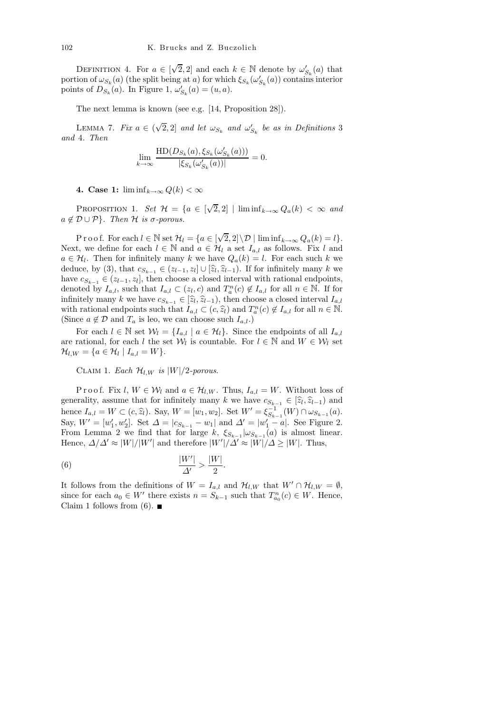DEFINITION 4. For  $a \in [\sqrt{2}, 2]$  and each  $k \in \mathbb{N}$  denote by  $\omega'_{S_k}(a)$  that portion of  $\omega_{S_k}(a)$  (the split being at a) for which  $\xi_{S_k}(\omega'_{S_k}(a))$  contains interior points of  $D_{S_k}(a)$ . In Figure 1,  $\omega'_{S_k}(a) = (u, a)$ .

The next lemma is known (see e.g. [14, Proposition 28]).

LEMMA 7. Fix  $a \in (\sqrt{2}, 2]$  and let  $\omega_{S_k}$  and  $\omega'_{S_k}$  be as in Definitions 3 and 4. Then

$$
\lim_{k \to \infty} \frac{\text{HD}(D_{S_k}(a), \xi_{S_k}(\omega'_{S_k}(a)))}{|\xi_{S_k}(\omega'_{S_k}(a))|} = 0.
$$

4. Case 1:  $\liminf_{k\to\infty} Q(k) < \infty$ 

PROPOSITION 1. Set  $\mathcal{H} = \{a \in [\sqrt{2}, 2] \mid \liminf_{k \to \infty} Q_a(k) < \infty \text{ and}$  $a \notin \mathcal{D} \cup \mathcal{P}$ . Then H is  $\sigma$ -porous.

P r o o f. For each  $l \in \mathbb{N}$  set  $\mathcal{H}_l = \{a \in [\sqrt{2}, 2] \setminus \mathcal{D} \mid \liminf_{k \to \infty} Q_a(k) = l\}.$ Next, we define for each  $l \in \mathbb{N}$  and  $a \in \mathcal{H}_l$  a set  $I_{a,l}$  as follows. Fix l and  $a \in \mathcal{H}_l$ . Then for infinitely many k we have  $Q_a(k) = l$ . For each such k we deduce, by (3), that  $c_{S_{k-1}} \in (z_{l-1}, z_l] \cup [\hat{z}_l, \hat{z}_{l-1})$ . If for infinitely many k we have  $c_{S_{k-1}} \in (z_{l-1}, z_l]$ , then choose a closed interval with rational endpoints, denoted by  $I_{a,l}$ , such that  $I_{a,l} \subset (z_l, c)$  and  $T_a^n(c) \notin I_{a,l}$  for all  $n \in \mathbb{N}$ . If for infinitely many k we have  $c_{S_{k-1}} \in [\hat{z}_l, \hat{z}_{l-1})$ , then choose a closed interval  $I_{a,l}$ with rational endpoints such that  $I_{a,l} \subset (c, \hat{z}_l)$  and  $T_a^n(c) \notin I_{a,l}$  for all  $n \in \mathbb{N}$ . (Since  $a \notin \mathcal{D}$  and  $T_a$  is leo, we can choose such  $I_{a,l}$ .)

For each  $l \in \mathbb{N}$  set  $\mathcal{W}_l = \{I_{a,l} \mid a \in \mathcal{H}_l\}$ . Since the endpoints of all  $I_{a,l}$ are rational, for each l the set  $W_l$  is countable. For  $l \in \mathbb{N}$  and  $W \in W_l$  set  $\mathcal{H}_{l,W} = \{a \in \mathcal{H}_l \mid I_{a,l} = W\}.$ 

CLAIM 1. Each  $\mathcal{H}_{l,W}$  is  $|W|/2$ -porous.

Proof. Fix l,  $W \in \mathcal{W}_l$  and  $a \in \mathcal{H}_{l,W}$ . Thus,  $I_{a,l} = W$ . Without loss of generality, assume that for infinitely many k we have  $c_{S_{k-1}} \in [\hat{z}_l, \hat{z}_{l-1})$  and hence  $I_{a,l} = W \subset (c, \hat{z}_l)$ . Say,  $W = [w_1, w_2]$ . Set  $W' = \xi_{S_{k-1}}^{-1}(W) \cap \omega_{S_{k-1}}(a)$ . Say,  $W' = [w'_1, w'_2]$ . Set  $\Delta = |c_{S_{k-1}} - w_1|$  and  $\Delta' = |w'_1 - a|$ . See Figure 2. From Lemma 2 we find that for large k,  $\xi_{S_{k-1}}|\omega_{S_{k-1}}(a)$  is almost linear. Hence,  $\Delta/\Delta' \approx |W|/|W'|$  and therefore  $|W'|/\Delta' \approx |W|/\Delta \ge |W|$ . Thus,

$$
\frac{|W'|}{\Delta'} > \frac{|W|}{2}.
$$

It follows from the definitions of  $W = I_{a,l}$  and  $\mathcal{H}_{l,W}$  that  $W' \cap \mathcal{H}_{l,W} = \emptyset$ , since for each  $a_0 \in W'$  there exists  $n = S_{k-1}$  such that  $T_{a_0}^n(c) \in W$ . Hence, Claim 1 follows from (6).  $\blacksquare$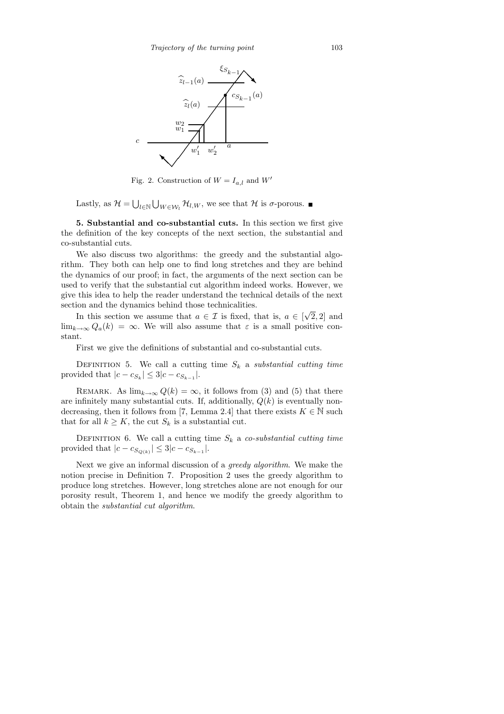

Fig. 2. Construction of  $W = I_{a,l}$  and  $W'$ 

Lastly, as  $\mathcal{H} = \bigcup_{l \in \mathbb{N}} \bigcup_{W \in \mathcal{W}_l} \mathcal{H}_{l,W}$ , we see that  $\mathcal{H}$  is  $\sigma$ -porous.

5. Substantial and co-substantial cuts. In this section we first give the definition of the key concepts of the next section, the substantial and co-substantial cuts.

We also discuss two algorithms: the greedy and the substantial algorithm. They both can help one to find long stretches and they are behind the dynamics of our proof; in fact, the arguments of the next section can be used to verify that the substantial cut algorithm indeed works. However, we give this idea to help the reader understand the technical details of the next section and the dynamics behind those technicalities.

In this section we assume that  $a \in \mathcal{I}$  is fixed, that is,  $a \in [\sqrt{2}, 2]$  and  $\lim_{k\to\infty} Q_a(k) = \infty$ . We will also assume that  $\varepsilon$  is a small positive constant.

First we give the definitions of substantial and co-substantial cuts.

DEFINITION 5. We call a cutting time  $S_k$  a substantial cutting time provided that  $|c - c_{S_k}| \leq 3|c - c_{S_{k-1}}|$ .

REMARK. As  $\lim_{k\to\infty} Q(k) = \infty$ , it follows from (3) and (5) that there are infinitely many substantial cuts. If, additionally,  $Q(k)$  is eventually nondecreasing, then it follows from [7, Lemma 2.4] that there exists  $K \in \mathbb{N}$  such that for all  $k \geq K$ , the cut  $S_k$  is a substantial cut.

DEFINITION 6. We call a cutting time  $S_k$  a co-substantial cutting time provided that  $|c - c_{S_{Q(k)}}| \leq 3|c - c_{S_{k-1}}|$ .

Next we give an informal discussion of a greedy algorithm. We make the notion precise in Definition 7. Proposition 2 uses the greedy algorithm to produce long stretches. However, long stretches alone are not enough for our porosity result, Theorem 1, and hence we modify the greedy algorithm to obtain the substantial cut algorithm.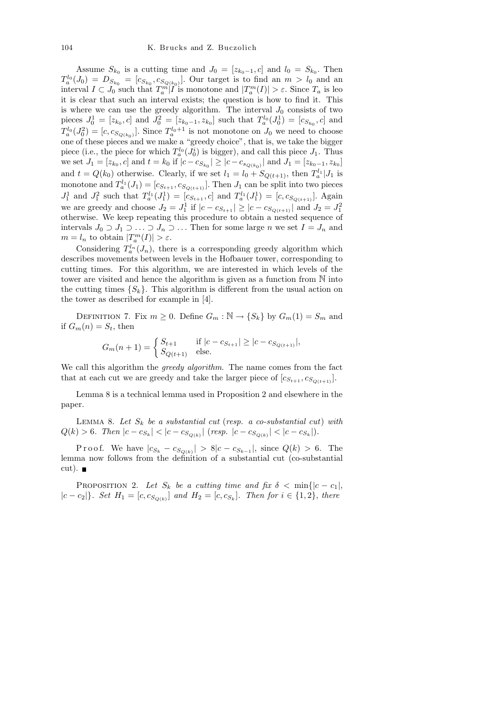Assume  $S_{k_0}$  is a cutting time and  $J_0 = [z_{k_0-1}, c]$  and  $l_0 = S_{k_0}$ . Then  $T_a^{l_0}(J_0) = D_{S_{k_0}} = [c_{S_{k_0}}, c_{S_{Q(k_0)}}].$  Our target is to find an  $m > l_0$  and an interval  $I \subset J_0$  such that  $T_a^m |I$  is monotone and  $|T_a^m(I)| > \varepsilon$ . Since  $T_a$  is les it is clear that such an interval exists; the question is how to find it. This is where we can use the greedy algorithm. The interval  $J_0$  consists of two pieces  $J_0^1 = [z_{k_0}, c]$  and  $J_0^2 = [z_{k_0-1}, z_{k_0}]$  such that  $T_a^{l_0}(J_0^1) = [c_{S_{k_0}}, c]$  and  $T_a^{l_0}(J_0^2) = [c, c_{S_{Q(k_0)}}]$ . Since  $T_a^{l_0+1}$  is not monotone on  $J_0$  we need to choose one of these pieces and we make a "greedy choice", that is, we take the bigger piece (i.e., the piece for which  $T_a^{l_0}(J_0^i)$  is bigger), and call this piece  $J_1$ . Thus we set  $J_1 = [z_{k_0}, c]$  and  $t = k_0$  if  $|c - c_{S_{k_0}}| \ge |c - c_{s_{Q(k_0)}}|$  and  $J_1 = [z_{k_0-1}, z_{k_0}]$ and  $t = Q(k_0)$  otherwise. Clearly, if we set  $l_1 = l_0 + S_{Q(t+1)}$ , then  $T_a^{l_1} | J_1$  is monotone and  $T_a^{l_1}(J_1) = [c_{S_{t+1}}, c_{S_{Q(t+1)}}]$ . Then  $J_1$  can be split into two pieces  $J_1^1$  and  $J_1^2$  such that  $T_a^{l_1}(J_1^1) = [c_{S_{t+1}}, c]$  and  $T_a^{l_1}(J_1^1) = [c, c_{S_{Q(t+1)}}]$ . Again we are greedy and choose  $J_2 = J_1^1$  if  $|c - c_{S_{t+1}}| \ge |c - c_{S_{Q(t+1)}}|$  and  $J_2 = J_1^2$ otherwise. We keep repeating this procedure to obtain a nested sequence of intervals  $J_0 \supset J_1 \supset \ldots \supset J_n \supset \ldots$  Then for some large n we set  $I = J_n$  and  $m = l_n$  to obtain  $|T_a^m(I)| > \varepsilon$ .

Considering  $T_a^{l_n}(J_n)$ , there is a corresponding greedy algorithm which describes movements between levels in the Hofbauer tower, corresponding to cutting times. For this algorithm, we are interested in which levels of the tower are visited and hence the algorithm is given as a function from N into the cutting times  $\{S_k\}$ . This algorithm is different from the usual action on the tower as described for example in [4].

DEFINITION 7. Fix  $m \geq 0$ . Define  $G_m : \mathbb{N} \to \{S_k\}$  by  $G_m(1) = S_m$  and if  $G_m(n) = S_t$ , then

$$
G_m(n+1) = \begin{cases} S_{t+1} & \text{if } |c - c_{S_{t+1}}| \ge |c - c_{S_{Q(t+1)}}|, \\ S_{Q(t+1)} & \text{else.} \end{cases}
$$

We call this algorithm the *greedy algorithm*. The name comes from the fact that at each cut we are greedy and take the larger piece of  $[c_{S_{t+1}}, c_{S_{O(t+1)}}]$ .

Lemma 8 is a technical lemma used in Proposition 2 and elsewhere in the paper.

LEMMA 8. Let  $S_k$  be a substantial cut (resp. a co-substantial cut) with  $Q(k) > 6$ . Then  $|c - c_{S_k}| < |c - c_{S_{Q(k)}}|$  (resp.  $|c - c_{S_{Q(k)}}| < |c - c_{S_k}|$ ).

P r o o f. We have  $|c_{S_k} - c_{S_{Q(k)}}| > 8|c - c_{S_{k-1}}|$ , since  $Q(k) > 6$ . The lemma now follows from the definition of a substantial cut (co-substantial  $cut$ ).

PROPOSITION 2. Let  $S_k$  be a cutting time and fix  $\delta < \min\{|c - c_1|,$  $|c - c_2|$ . Set  $H_1 = [c, c_{S_{Q(k)}}]$  and  $H_2 = [c, c_{S_k}]$ . Then for  $i \in \{1, 2\}$ , there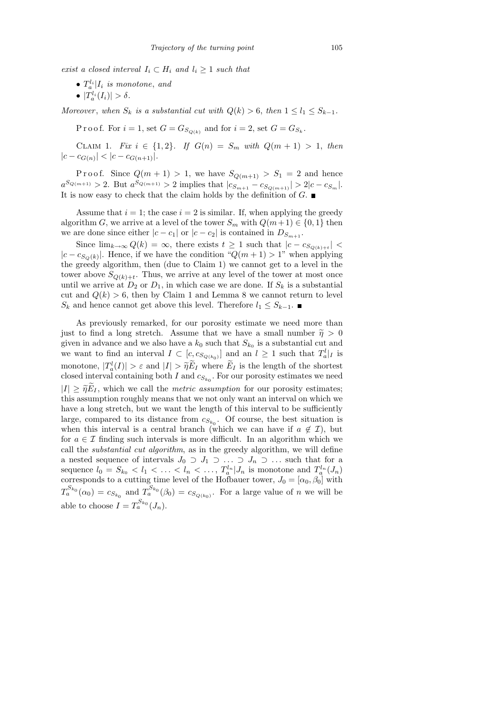exist a closed interval  $I_i \subset H_i$  and  $l_i \geq 1$  such that

- $T_a^{l_i} | I_i$  is monotone, and
- $\bullet$   $|T_a^{l_i}(I_i)| > \delta$ .

Moreover, when  $S_k$  is a substantial cut with  $Q(k) > 6$ , then  $1 \leq l_1 \leq S_{k-1}$ .

Proof. For  $i = 1$ , set  $G = G_{S_{Q(k)}}$  and for  $i = 2$ , set  $G = G_{S_k}$ .

CLAIM 1. Fix  $i \in \{1, 2\}$ . If  $G(n) = S_m$  with  $Q(m + 1) > 1$ , then  $|c - c_{G(n)}| < |c - c_{G(n+1)}|$ .

Proof. Since  $Q(m+1) > 1$ , we have  $S_{Q(m+1)} > S_1 = 2$  and hence  $a^{S_{Q(m+1)}} > 2$ . But  $a^{S_{Q(m+1)}} > 2$  implies that  $|c_{S_{m+1}} - c_{S_{Q(m+1)}}| > 2|c - c_{S_m}|$ . It is now easy to check that the claim holds by the definition of  $G$ .

Assume that  $i = 1$ ; the case  $i = 2$  is similar. If, when applying the greedy algorithm G, we arrive at a level of the tower  $S_m$  with  $Q(m+1) \in \{0,1\}$  then we are done since either  $|c - c_1|$  or  $|c - c_2|$  is contained in  $D_{S_{m+1}}$ .

Since  $\lim_{k\to\infty} Q(k) = \infty$ , there exists  $t \geq 1$  such that  $|c - c_{S_{Q(k)+t}}| <$  $|c - c_{S_Q(k)}|$ . Hence, if we have the condition " $Q(m+1) > 1$ " when applying the greedy algorithm, then (due to Claim 1) we cannot get to a level in the tower above  $S_{Q(k)+t}$ . Thus, we arrive at any level of the tower at most once until we arrive at  $D_2$  or  $D_1$ , in which case we are done. If  $S_k$  is a substantial cut and  $Q(k) > 6$ , then by Claim 1 and Lemma 8 we cannot return to level  $S_k$  and hence cannot get above this level. Therefore  $l_1 \leq S_{k-1}$ .

As previously remarked, for our porosity estimate we need more than just to find a long stretch. Assume that we have a small number  $\tilde{\eta} > 0$ given in advance and we also have a  $k_0$  such that  $S_{k_0}$  is a substantial cut and we want to find an interval  $I \subset [c, c_{S_{Q(k_0)}}]$  and an  $l \geq 1$  such that  $T_a^l|_I$  is monotone,  $|T_a^l(I)| > \varepsilon$  and  $|I| > \widetilde{\eta} \widetilde{E}_I$  where  $\widetilde{E}_I$  is the length of the shortest closed interval containing both  $I$  and  $c_{S_{k_0}}$ . For our porosity estimates we need  $|I| \geq \tilde{\eta}E_I$ , which we call the *metric assumption* for our porosity estimates; this assumption roughly means that we not only want an interval on which we have a long stretch, but we want the length of this interval to be sufficiently large, compared to its distance from  $c_{S_{k_0}}$ . Of course, the best situation is when this interval is a central branch (which we can have if  $a \notin \mathcal{I}$ ), but for  $a \in \mathcal{I}$  finding such intervals is more difficult. In an algorithm which we call the substantial cut algorithm, as in the greedy algorithm, we will define a nested sequence of intervals  $J_0 \supset J_1 \supset \ldots \supset J_n \supset \ldots$  such that for a sequence  $l_0 = S_{k_0} < l_1 < \ldots < l_n < \ldots$ ,  $T_a^{l_n} | J_n$  is monotone and  $T_a^{l_n}(J_n)$ corresponds to a cutting time level of the Hofbauer tower,  $J_0 = [\alpha_0, \beta_0]$  with  $T_a^{S_{k_0}}(\alpha_0) = c_{S_{k_0}}$  and  $T_a^{S_{k_0}}(\beta_0) = c_{S_{Q(k_0)}}$ . For a large value of n we will be able to choose  $I = T_a^{S_{k_0}}(J_n)$ .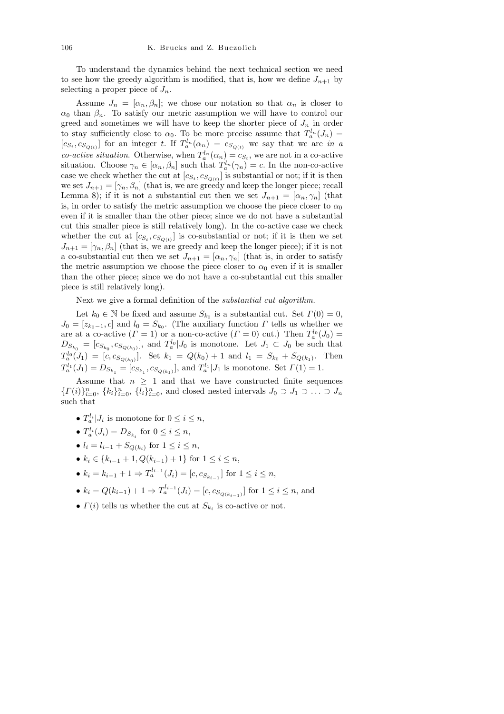To understand the dynamics behind the next technical section we need to see how the greedy algorithm is modified, that is, how we define  $J_{n+1}$  by selecting a proper piece of  $J_n$ .

Assume  $J_n = [\alpha_n, \beta_n]$ ; we chose our notation so that  $\alpha_n$  is closer to  $\alpha_0$  than  $\beta_n$ . To satisfy our metric assumption we will have to control our greed and sometimes we will have to keep the shorter piece of  $J_n$  in order to stay sufficiently close to  $\alpha_0$ . To be more precise assume that  $T_a^{l_n}(J_n) =$  $[c_{S_t}, c_{S_{Q(t)}}]$  for an integer t. If  $T_a^{l_n}(\alpha_n) = c_{S_{Q(t)}}$  we say that we are in a *co-active situation*. Otherwise, when  $T_a^{l_n}(\alpha_n) = c_{S_t}$ , we are not in a co-active situation. Choose  $\gamma_n \in [\alpha_n, \beta_n]$  such that  $T_a^{l_n}(\gamma_n) = c$ . In the non-co-active case we check whether the cut at  $[c_{S_t}, c_{S_{Q(t)}}]$  is substantial or not; if it is then we set  $J_{n+1} = [\gamma_n, \beta_n]$  (that is, we are greedy and keep the longer piece; recall Lemma 8); if it is not a substantial cut then we set  $J_{n+1} = [\alpha_n, \gamma_n]$  (that is, in order to satisfy the metric assumption we choose the piece closer to  $\alpha_0$ even if it is smaller than the other piece; since we do not have a substantial cut this smaller piece is still relatively long). In the co-active case we check whether the cut at  $[c_{S_t}, c_{S_{Q(t)}}]$  is co-substantial or not; if it is then we set  $J_{n+1} = [\gamma_n, \beta_n]$  (that is, we are greedy and keep the longer piece); if it is not a co-substantial cut then we set  $J_{n+1} = [\alpha_n, \gamma_n]$  (that is, in order to satisfy the metric assumption we choose the piece closer to  $\alpha_0$  even if it is smaller than the other piece; since we do not have a co-substantial cut this smaller piece is still relatively long).

Next we give a formal definition of the substantial cut algorithm.

Let  $k_0 \in \mathbb{N}$  be fixed and assume  $S_{k_0}$  is a substantial cut. Set  $\Gamma(0) = 0$ ,  $J_0 = [z_{k_0-1}, c]$  and  $l_0 = S_{k_0}$ . (The auxiliary function  $\Gamma$  tells us whether we are at a co-active  $(\Gamma = 1)$  or a non-co-active  $(\Gamma = 0)$  cut.) Then  $T_a^{l_0}(J_0) =$  $D_{S_{k_0}} = [c_{S_{k_0}}, c_{S_{Q(k_0)}}],$  and  $T_a^{l_0}|J_0$  is monotone. Let  $J_1 \subset J_0$  be such that  $T_a^{l_0}(J_1) = [c, c_{S_{Q(k_0)}}]$ . Set  $k_1 = Q(k_0) + 1$  and  $l_1 = S_{k_0} + S_{Q(k_1)}$ . Then  $T_a^{l_1}(J_1) = D_{S_{k_1}} = [c_{S_{k_1}}, c_{S_{Q(k_1)}}],$  and  $T_a^{l_1}|J_1$  is monotone. Set  $\Gamma(1) = 1$ .

Assume that  $n \geq 1$  and that we have constructed finite sequences  $\{ \Gamma(i) \}_{i=0}^n$ ,  $\{k_i\}_{i=0}^n$ ,  $\{l_i\}_{i=0}^n$ , and closed nested intervals  $J_0 \supset J_1 \supset \ldots \supset J_n$ such that

- $T_a^{l_i} | J_i$  is monotone for  $0 \le i \le n$ ,
- $T_a^{l_i}(J_i) = D_{S_{k_i}}$  for  $0 \le i \le n$ ,
- $l_i = l_{i-1} + S_{Q(k_i)}$  for  $1 \le i \le n$ ,
- $k_i \in \{k_{i-1}+1, Q(k_{i-1})+1\}$  for  $1 \leq i \leq n$ ,
- $k_i = k_{i-1} + 1 \Rightarrow T_a^{l_{i-1}}(J_i) = [c, c_{S_{k_{i-1}}}]$  for  $1 \le i \le n$ ,
- $k_i = Q(k_{i-1}) + 1 \Rightarrow T_a^{l_{i-1}}(J_i) = [c, c_{S_{Q(k_{i-1})}}]$  for  $1 \le i \le n$ , and
- $\Gamma(i)$  tells us whether the cut at  $S_{k_i}$  is co-active or not.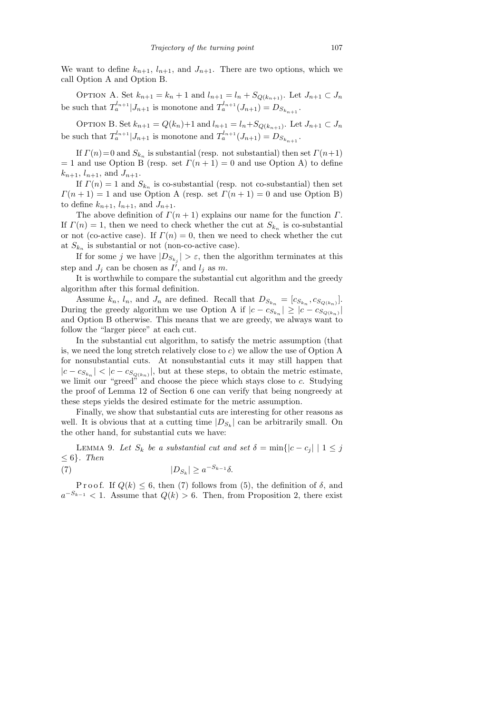We want to define  $k_{n+1}$ ,  $l_{n+1}$ , and  $J_{n+1}$ . There are two options, which we call Option A and Option B.

OPTION A. Set  $k_{n+1} = k_n + 1$  and  $l_{n+1} = l_n + S_{Q(k_{n+1})}$ . Let  $J_{n+1} \subset J_n$ be such that  $T_a^{l_{n+1}} | J_{n+1}$  is monotone and  $T_a^{l_{n+1}} (J_{n+1}) = D_{S_{k_{n+1}}}$ .

OPTION B. Set  $k_{n+1} = Q(k_n) + 1$  and  $l_{n+1} = l_n + S_{Q(k_{n+1})}$ . Let  $J_{n+1} \subset J_n$ be such that  $T_a^{l_{n+1}} | J_{n+1}$  is monotone and  $T_a^{l_{n+1}} (J_{n+1}) = D_{S_{k_{n+1}}}$ .

If  $\Gamma(n)=0$  and  $S_{k_n}$  is substantial (resp. not substantial) then set  $\Gamma(n+1)$  $= 1$  and use Option B (resp. set  $\Gamma(n + 1) = 0$  and use Option A) to define  $k_{n+1}, l_{n+1}, \text{ and } J_{n+1}.$ 

If  $\Gamma(n) = 1$  and  $S_{k_n}$  is co-substantial (resp. not co-substantial) then set  $\Gamma(n+1) = 1$  and use Option A (resp. set  $\Gamma(n+1) = 0$  and use Option B) to define  $k_{n+1}$ ,  $l_{n+1}$ , and  $J_{n+1}$ .

The above definition of  $\Gamma(n+1)$  explains our name for the function  $\Gamma$ . If  $\Gamma(n) = 1$ , then we need to check whether the cut at  $S_{k_n}$  is co-substantial or not (co-active case). If  $\Gamma(n) = 0$ , then we need to check whether the cut at  $S_{k_n}$  is substantial or not (non-co-active case).

If for some j we have  $|D_{S_{k_j}}| > \varepsilon$ , then the algorithm terminates at this step and  $J_j$  can be chosen as  $I^j$ , and  $l_j$  as m.

It is worthwhile to compare the substantial cut algorithm and the greedy algorithm after this formal definition.

Assume  $k_n$ ,  $l_n$ , and  $J_n$  are defined. Recall that  $D_{S_{k_n}} = [c_{S_{k_n}}, c_{S_{Q(k_n)}}]$ . During the greedy algorithm we use Option A if  $|c - c_{S_{k_n}}| \geq |c - c_{S_{Q(k_n)}}|$ and Option B otherwise. This means that we are greedy, we always want to follow the "larger piece" at each cut.

In the substantial cut algorithm, to satisfy the metric assumption (that is, we need the long stretch relatively close to  $c$ ) we allow the use of Option A for nonsubstantial cuts. At nonsubstantial cuts it may still happen that  $|c - c_{S_{k_n}}| < |c - c_{S_{Q(k_n)}}|$ , but at these steps, to obtain the metric estimate, we limit our "greed" and choose the piece which stays close to c. Studying the proof of Lemma 12 of Section 6 one can verify that being nongreedy at these steps yields the desired estimate for the metric assumption.

Finally, we show that substantial cuts are interesting for other reasons as well. It is obvious that at a cutting time  $|D_{S_k}|$  can be arbitrarily small. On the other hand, for substantial cuts we have:

LEMMA 9. Let  $S_k$  be a substantial cut and set  $\delta = \min\{|c - c_j| \mid 1 \leq j\}$  $\leq 6$ . Then

(7)  $|D_{S_k}| \geq a^{-S_{k-1}}\delta$ .

Proof. If  $Q(k) \leq 6$ , then (7) follows from (5), the definition of  $\delta$ , and  $a^{-S_{k-1}} < 1$ . Assume that  $Q(k) > 6$ . Then, from Proposition 2, there exist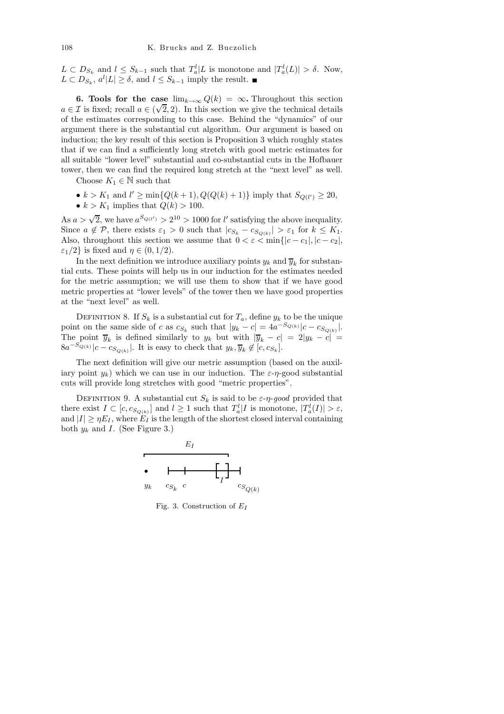$L \subset D_{S_k}$  and  $l \leq S_{k-1}$  such that  $T_a^l | L$  is monotone and  $|T_a^l(L)| > \delta$ . Now,  $L \subset D_{S_k}, a^l |L| \geq \delta$ , and  $l \leq S_{k-1}$  imply the result.

6. Tools for the case  $\lim_{k\to\infty} Q(k) = \infty$ . Throughout this section  $a \in \mathcal{I}$  is fixed; recall  $a \in (\sqrt{2}, 2)$ . In this section we give the technical details of the estimates corresponding to this case. Behind the "dynamics" of our argument there is the substantial cut algorithm. Our argument is based on induction; the key result of this section is Proposition 3 which roughly states that if we can find a sufficiently long stretch with good metric estimates for all suitable "lower level" substantial and co-substantial cuts in the Hofbauer tower, then we can find the required long stretch at the "next level" as well.

Choose  $K_1 \in \mathbb{N}$  such that

- $k > K_1$  and  $l' \ge \min\{Q(k+1), Q(Q(k)+1)\}\$ imply that  $S_{Q(l')} \ge 20$ ,
- $k > K_1$  implies that  $Q(k) > 100$ .

As  $a > \sqrt{2}$ , we have  $a^{S_{Q(l')}} > 2^{10} > 1000$  for l' satisfying the above inequality. Since  $a \notin \mathcal{P}$ , there exists  $\varepsilon_1 > 0$  such that  $|c_{S_k} - c_{S_{Q(k)}}| > \varepsilon_1$  for  $k \leq K_1$ . Also, throughout this section we assume that  $0 < \varepsilon < \min\{|c - c_1|, |c - c_2|,$  $\varepsilon_1/2$ } is fixed and  $\eta \in (0, 1/2)$ .

In the next definition we introduce auxiliary points  $y_k$  and  $\overline{y}_k$  for substantial cuts. These points will help us in our induction for the estimates needed for the metric assumption; we will use them to show that if we have good metric properties at "lower levels" of the tower then we have good properties at the "next level" as well.

DEFINITION 8. If  $S_k$  is a substantial cut for  $T_a$ , define  $y_k$  to be the unique point on the same side of c as  $c_{S_k}$  such that  $|y_k - c| = 4a^{-S_{Q(k)}}|c - c_{S_{Q(k)}}|$ . The point  $\overline{y}_k$  is defined similarly to  $y_k$  but with  $|\overline{y}_k - c| = 2|y_k - c| =$  $8a^{-S_{Q(k)}}|c - c_{S_{Q(k)}}|$ . It is easy to check that  $y_k, \overline{y}_k \notin [c, c_{S_k}]$ .

The next definition will give our metric assumption (based on the auxiliary point  $y_k$ ) which we can use in our induction. The  $\varepsilon$ - $\eta$ -good substantial cuts will provide long stretches with good "metric properties".

DEFINITION 9. A substantial cut  $S_k$  is said to be  $\varepsilon$ - $\eta$ -good provided that there exist  $I \subset [c, c_{S_{Q(k)}}]$  and  $l \geq 1$  such that  $T_a^l | I$  is monotone,  $|T_a^l(I)| > \varepsilon$ , and  $|I| \geq \eta E_I$ , where  $E_I$  is the length of the shortest closed interval containing both  $y_k$  and I. (See Figure 3.)



Fig. 3. Construction of *E<sup>I</sup>*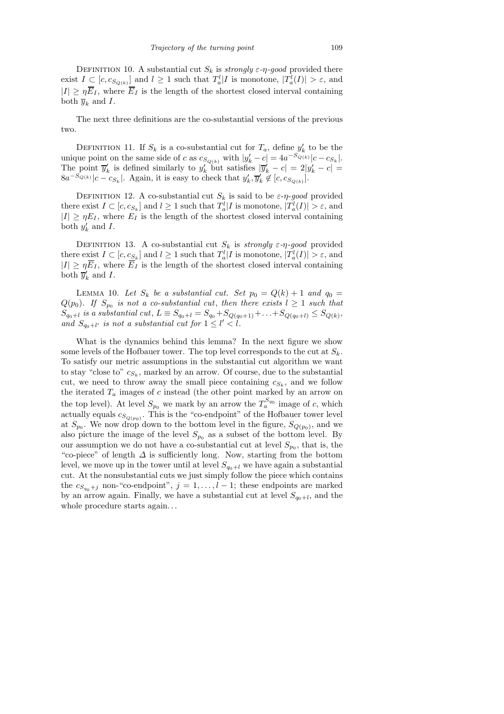DEFINITION 10. A substantial cut  $S_k$  is strongly  $\varepsilon$ -η-good provided there exist  $I \subseteq [c, c_{S_{Q(k)}}]$  and  $l \geq 1$  such that  $T_a^l | I$  is monotone,  $|T_a^l(I)| > \varepsilon$ , and  $|I| \geq \eta \overline{E}_I$ , where  $\overline{E}_I$  is the length of the shortest closed interval containing both  $\overline{y}_k$  and I.

The next three definitions are the co-substantial versions of the previous two.

DEFINITION 11. If  $S_k$  is a co-substantial cut for  $T_a$ , define  $y'_k$  to be the unique point on the same side of c as  $c_{S_{Q(k)}}$  with  $|y'_k - c| = 4a^{-S_{Q(k)}}|c - c_{S_k}|$ . The point  $\overline{y}'_k$  is defined similarly to  $y'_k$  but satisfies  $|\overline{y}'_k - c| = 2|y'_k - c|$  $8a^{-S_{Q(k)}}|c-c_{S_k}|$ . Again, it is easy to check that  $y'_k, \overline{y}'_k \notin [c, c_{S_{Q(k)}}]$ .

DEFINITION 12. A co-substantial cut  $S_k$  is said to be  $\varepsilon$ - $\eta$ -good provided there exist  $I \subset [c, c_{S_k}]$  and  $l \geq 1$  such that  $T_a^l | I$  is monotone,  $|T_a^l(I)| > \varepsilon$ , and  $|I| \geq \eta E_I$ , where  $E_I$  is the length of the shortest closed interval containing both  $y'_k$  and I.

DEFINITION 13. A co-substantial cut  $S_k$  is strongly  $\varepsilon$ -η-good provided there exist  $I \subset [c, c_{S_k}]$  and  $l \geq 1$  such that  $T_a^l | I$  is monotone,  $|T_a^l(I)| > \varepsilon$ , and  $|I| \geq \eta \overline{E}_I$ , where  $\overline{E}_I$  is the length of the shortest closed interval containing both  $\overline{y}'_k$  and I.

LEMMA 10. Let  $S_k$  be a substantial cut. Set  $p_0 = Q(k) + 1$  and  $q_0 =$  $Q(p_0)$ . If  $S_{p_0}$  is not a co-substantial cut, then there exists  $l \geq 1$  such that  $S_{q_0+l}$  is a substantial cut,  $L \equiv S_{q_0+l} = S_{q_0} + S_{Q(q_0+1)} + \ldots + S_{Q(q_0+l)} \leq S_{Q(k)},$ and  $S_{q_0+l'}$  is not a substantial cut for  $1 \leq l' < l$ .

What is the dynamics behind this lemma? In the next figure we show some levels of the Hofbauer tower. The top level corresponds to the cut at  $S_k$ . To satisfy our metric assumptions in the substantial cut algorithm we want to stay "close to"  $c_{S_k}$ , marked by an arrow. Of course, due to the substantial cut, we need to throw away the small piece containing  $c_{S_k}$ , and we follow the iterated  $T_a$  images of c instead (the other point marked by an arrow on the top level). At level  $S_{p_0}$  we mark by an arrow the  $T_a^{S_{q_0}}$  image of c, which actually equals  $c_{S_{Q(p_0)}}$ . This is the "co-endpoint" of the Hofbauer tower level at  $S_{p_0}$ . We now drop down to the bottom level in the figure,  $S_{Q(p_0)}$ , and we also picture the image of the level  $S_{p_0}$  as a subset of the bottom level. By our assumption we do not have a co-substantial cut at level  $S_{p_0}$ , that is, the "co-piece" of length  $\Delta$  is sufficiently long. Now, starting from the bottom level, we move up in the tower until at level  $S_{q_0+l}$  we have again a substantial cut. At the nonsubstantial cuts we just simply follow the piece which contains the  $c_{S_{q_0}+j}$  non-"co-endpoint",  $j = 1, \ldots, l-1$ ; these endpoints are marked by an arrow again. Finally, we have a substantial cut at level  $S_{q_0+l}$ , and the whole procedure starts again...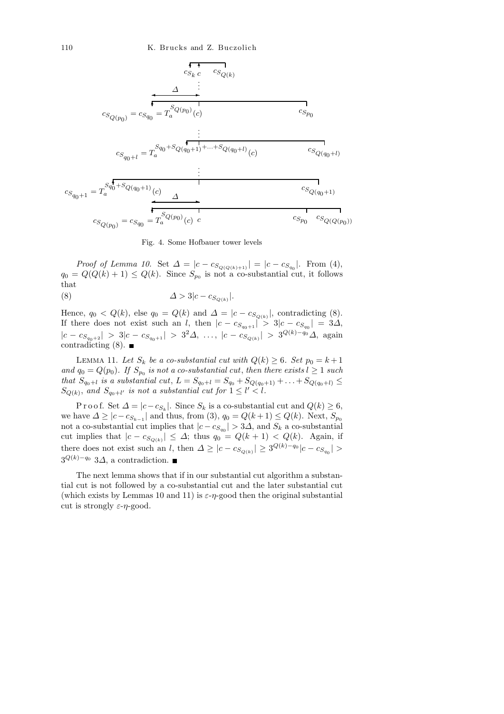

Fig. 4. Some Hofbauer tower levels

*Proof of Lemma 10.* Set  $\Delta = |c - c_{S_{Q(Q(k)+1)}}| = |c - c_{S_{q_0}}|$ . From (4),  $q_0 = Q(Q(k) + 1) \leq Q(k)$ . Since  $S_{p_0}$  is not a co-substantial cut, it follows that

∆ > 3|c − c<sup>S</sup>Q(k) (8) |.

Hence,  $q_0 < Q(k)$ , else  $q_0 = Q(k)$  and  $\Delta = |c - c_{S_{Q(k)}}|$ , contradicting (8). If there does not exist such an l, then  $|c - c_{S_{q_0+1}}| > 3|c - c_{S_{q_0}}| = 3\Delta$ ,  $|c - c_{S_{q_0+2}}| > 3|c - c_{S_{q_0+1}}| > 3^2\Delta, \ldots, |c - c_{S_{Q(k)}}| > 3^{Q(k)-q_0}\Delta, \text{ again}$ contradicting  $(8)$ .

LEMMA 11. Let  $S_k$  be a co-substantial cut with  $Q(k) \geq 6$ . Set  $p_0 = k + 1$ and  $q_0 = Q(p_0)$ . If  $S_{p_0}$  is not a co-substantial cut, then there exists  $l \geq 1$  such that  $S_{q_0+l}$  is a substantial cut,  $L = S_{q_0+l} = S_{q_0} + S_{Q(q_0+1)} + \ldots + S_{Q(q_0+l)} \leq$  $S_{Q(k)}$ , and  $S_{q_0+l'}$  is not a substantial cut for  $1 \leq l' < l$ .

P r o o f. Set  $\Delta = |c - c_{S_k}|$ . Since  $S_k$  is a co-substantial cut and  $Q(k) \geq 6$ , we have  $\Delta \geq |c - c_{S_{k-1}}|$  and thus, from (3),  $q_0 = Q(k+1) \leq Q(k)$ . Next,  $S_{p_0}$ not a co-substantial cut implies that  $|c - c_{S_{q_0}}| > 3\Delta$ , and  $S_k$  a co-substantial cut implies that  $|c - c_{S_{Q(k)}}| \leq \Delta$ ; thus  $q_0 = Q(k+1) < Q(k)$ . Again, if there does not exist such an l, then  $\Delta \geq |c - c_{S_{Q(k)}}| \geq 3^{Q(k)-q_0}|c - c_{S_{q_0}}| >$  $3^{Q(k)-q_0}$  3 $\Delta$ , a contradiction.

The next lemma shows that if in our substantial cut algorithm a substantial cut is not followed by a co-substantial cut and the later substantial cut (which exists by Lemmas 10 and 11) is  $\varepsilon$ - $\eta$ -good then the original substantial cut is strongly  $\varepsilon$ - $\eta$ -good.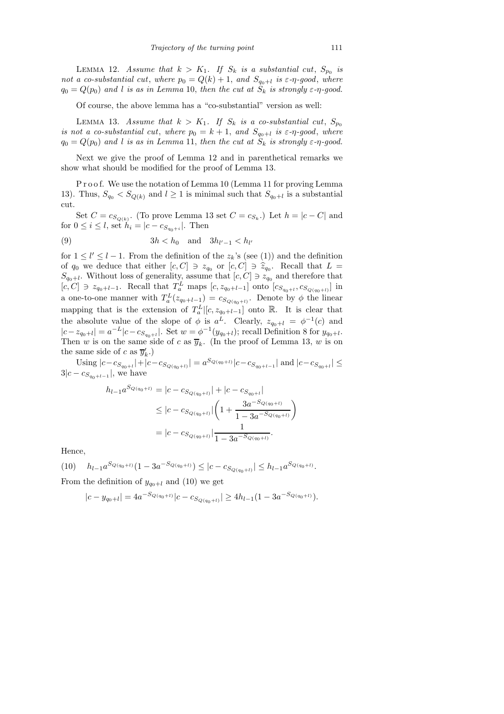LEMMA 12. Assume that  $k > K_1$ . If  $S_k$  is a substantial cut,  $S_{p_0}$  is not a co-substantial cut, where  $p_0 = Q(k) + 1$ , and  $S_{q_0+l}$  is  $\varepsilon$ - $\eta$ -good, where  $q_0 = Q(p_0)$  and l is as in Lemma 10, then the cut at  $S_k$  is strongly  $\varepsilon$ - $\eta$ -good.

Of course, the above lemma has a "co-substantial" version as well:

LEMMA 13. Assume that  $k > K_1$ . If  $S_k$  is a co-substantial cut,  $S_{p_0}$ is not a co-substantial cut, where  $p_0 = k + 1$ , and  $S_{q_0+l}$  is  $\varepsilon$ -η-good, where  $q_0 = Q(p_0)$  and l is as in Lemma 11, then the cut at  $S_k$  is strongly  $\varepsilon$ - $\eta$ -good.

Next we give the proof of Lemma 12 and in parenthetical remarks we show what should be modified for the proof of Lemma 13.

Proof. We use the notation of Lemma 10 (Lemma 11 for proving Lemma 13). Thus,  $S_{q_0} < S_{Q(k)}$  and  $l \ge 1$  is minimal such that  $S_{q_0+l}$  is a substantial cut.

Set  $C = c_{S_{Q(k)}}$ . (To prove Lemma 13 set  $C = c_{S_k}$ .) Let  $h = |c - C|$  and for  $0 \leq i \leq l$ , set  $h_i = |c - c_{S_{q_0+i}}|$ . Then

$$
(9) \t\t 3h < h_0 \t \text{and} \t 3h_{l'-1} < h_{l'}
$$

for  $1 \leq l' \leq l-1$ . From the definition of the  $z_k$ 's (see (1)) and the definition of  $q_0$  we deduce that either  $[c, C] \ni z_{q_0}$  or  $[c, C] \ni \hat{z}_{q_0}$ . Recall that  $L = C$ .  $S_{q_0+l}$ . Without loss of generality, assume that  $[c, C] \ni z_{q_0}$  and therefore that  $[c, C] \ni z_{q_0+l-1}$ . Recall that  $T_a^L$  maps  $[c, z_{q_0+l-1}]$  onto  $[c_{S_{q_0+l}}, c_{S_{Q(q_0+l)}}]$  in a one-to-one manner with  $T_a^L(z_{q_0+l-1}) = c_{S_{Q(q_0+l)}}$ . Denote by  $\phi$  the linear mapping that is the extension of  $T_a^L$ [ $[c, z_{q_0+l-1}]$  onto  $\mathbb{R}$ . It is clear that the absolute value of the slope of  $\phi$  is  $a^L$ . Clearly,  $z_{q_0+l} = \phi^{-1}(c)$  and  $|c - z_{q_0+l}| = a^{-L} |c - c s_{q_0+l}|$ . Set  $w = \phi^{-1}(y_{q_0+l})$ ; recall Definition 8 for  $y_{q_0+l}$ . Then w is on the same side of c as  $\overline{y}_k$ . (In the proof of Lemma 13, w is on the same side of c as  $\overline{y}'_k$ .)

Using  $|c-c_{S_{q_0+l}}|+|c-c_{S_{Q(q_0+l)}}|=a^{S_{Q(q_0+l)}}|c-c_{S_{q_0+l-1}}|$  and  $|c-c_{S_{q_0+l}}|\leq$  $3|c - c_{S_{q_0+l-1}}|$ , we have

$$
h_{l-1}a^{S_{Q(q_0+l)}} = |c - c_{S_{Q(q_0+l)}}| + |c - c_{S_{q_0+l}}|
$$
  
\n
$$
\leq |c - c_{S_{Q(q_0+l)}}| \left(1 + \frac{3a^{-S_{Q(q_0+l)}}}{1 - 3a^{-S_{Q(q_0+l)}}}\right)
$$
  
\n
$$
= |c - c_{S_{Q(q_0+l)}}| \frac{1}{1 - 3a^{-S_{Q(q_0+l)}}}.
$$

Hence,

 $(10)$   $h_{l-1}a^{S_{Q(q_0+l)}}(1-3a^{-S_{Q(q_0+l)}}) \leq |c-c_{S_{Q(q_0+l)}}| \leq h_{l-1}a^{S_{Q(q_0+l)}}.$ 

From the definition of  $y_{q_0+l}$  and (10) we get

$$
|c - y_{q_0+l}| = 4a^{-S_{Q(q_0+l)}}|c - c_{S_{Q(q_0+l)}}| \ge 4h_{l-1}(1 - 3a^{-S_{Q(q_0+l)}}).
$$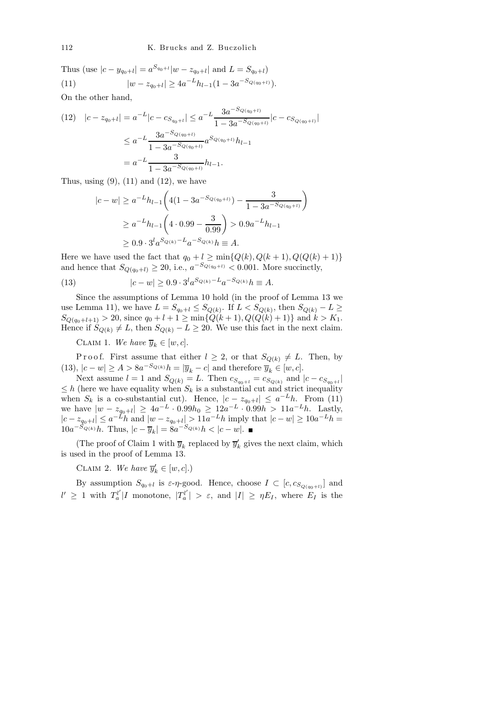Thus (use  $|c - y_{q_0+l}| = a^{S_{q_0+l}}|w - z_{q_0+l}|$  and  $L = S_{q_0+l}$ ) (11)  $|w - z_{q_0+l}| \ge 4a^{-L}h_{l-1}(1 - 3a^{-S_{Q(q_0+l)}}).$ 

On the other hand,

$$
(12) \quad |c - z_{q_0+l}| = a^{-L} |c - c_{S_{q_0+l}}| \le a^{-L} \frac{3a^{-S_{Q(q_0+l)}}}{1 - 3a^{-S_{Q(q_0+l)}}} |c - c_{S_{Q(q_0+l)}}|
$$

$$
\le a^{-L} \frac{3a^{-S_{Q(q_0+l)}}}{1 - 3a^{-S_{Q(q_0+l)}}} a^{S_{Q(q_0+l)}} h_{l-1}
$$

$$
= a^{-L} \frac{3}{1 - 3a^{-S_{Q(q_0+l)}}} h_{l-1}.
$$

Thus, using  $(9)$ ,  $(11)$  and  $(12)$ , we have

$$
|c - w| \ge a^{-L} h_{l-1} \left( 4(1 - 3a^{-S_{Q(q_0+l)}}) - \frac{3}{1 - 3a^{-S_{Q(q_0+l)}}} \right)
$$
  

$$
\ge a^{-L} h_{l-1} \left( 4 \cdot 0.99 - \frac{3}{0.99} \right) > 0.9a^{-L} h_{l-1}
$$
  

$$
\ge 0.9 \cdot 3^l a^{S_{Q(k)} - L} a^{-S_{Q(k)}} h \equiv A.
$$

Here we have used the fact that  $q_0 + l \ge \min\{Q(k), Q(k+1), Q(Q(k)+1)\}\$ and hence that  $S_{Q(q_0+l)} \ge 20$ , i.e.,  $a^{-S_{Q(q_0+l)}} < 0.001$ . More succinctly,

(13) 
$$
|c - w| \ge 0.9 \cdot 3^l a^{S_{Q(k)} - L} a^{-S_{Q(k)}} h \equiv A.
$$

Since the assumptions of Lemma 10 hold (in the proof of Lemma 13 we use Lemma 11), we have  $L = S_{q_0+l} \leq S_{Q(k)}$ . If  $L < S_{Q(k)}$ , then  $S_{Q(k)} - L \geq$  $S_{Q(q_0+l+1)} > 20$ , since  $q_0 + l + 1 \ge \min\{Q(k+1), Q(Q(k)+1)\}\$  and  $k > K_1$ . Hence if  $S_{Q(k)} \neq L$ , then  $S_{Q(k)} - L \geq 20$ . We use this fact in the next claim.

CLAIM 1. We have  $\overline{y}_k \in [w, c]$ .

P r o o f. First assume that either  $l \geq 2$ , or that  $S_{Q(k)} \neq L$ . Then, by (13),  $|c - w| \ge A > 8a^{-S_{Q(k)}}h = |\overline{y}_k - c|$  and therefore  $\overline{y}_k \in [w, c]$ .

Next assume  $l = 1$  and  $S_{Q(k)} = L$ . Then  $c_{S_{q_0+l}} = c_{S_{Q(k)}}$  and  $|c - c_{S_{q_0+l}}|$  $\leq h$  (here we have equality when  $S_k$  is a substantial cut and strict inequality when  $S_k$  is a co-substantial cut). Hence,  $|c - z_{q_0+l}| \leq a^{-L}h$ . From (11) we have  $|w - z_{q_0+1}| \ge 4a^{-L} \cdot 0.99h_0 \ge 12a^{-L} \cdot 0.99h > 11a^{-L}h$ . Lastly,  $|c - z_{q_0+l}| \leq a^{-L}h$  and  $|w - z_{q_0+l}| > 11a^{-L}h$  imply that  $|c - w| \geq 10a^{-L}h =$  $10a^{-S_{Q(k)}}h$ . Thus,  $|c - \overline{y}_k| = 8a^{-S_{Q(k)}}h < |c - w|$ .

(The proof of Claim 1 with  $\overline{y}_k$  replaced by  $\overline{y}'_k$  gives the next claim, which is used in the proof of Lemma 13.

CLAIM 2. We have  $\overline{y}'_k \in [w, c]$ .)

By assumption  $S_{q_0+l}$  is  $\varepsilon$ - $\eta$ -good. Hence, choose  $I \subset [c, c_{S_{Q(q_0+l)}}]$  and  $l' \geq 1$  with  $T_a^{l'}$  $T_a^{l'}|I \text{ monotone}, |T_a^{l'}|$  $\vert I_{a}^{l'} \vert > \varepsilon$ , and  $\vert I \vert \geq \eta E_I$ , where  $E_I$  is the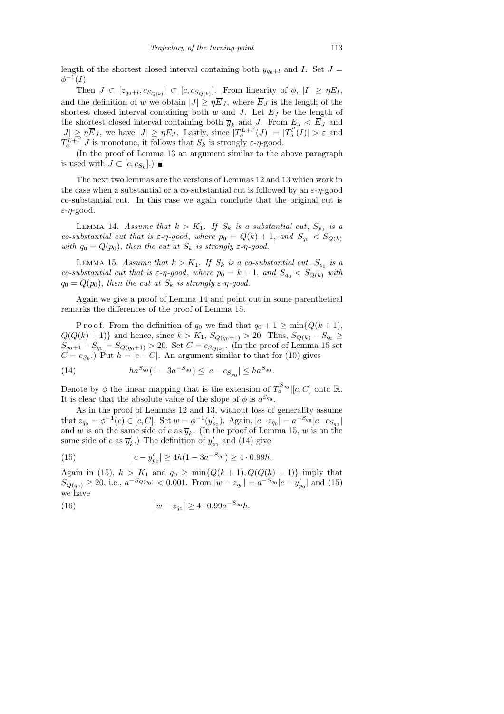length of the shortest closed interval containing both  $y_{q_0+l}$  and I. Set  $J =$  $\phi^{-1}(I).$ 

Then  $J \subset [z_{q_0+l}, c_{S_{Q(k)}}] \subset [c, c_{S_{Q(k)}}]$ . From linearity of  $\phi$ ,  $|I| \geq \eta E_I$ , and the definition of w we obtain  $|J| \geq \eta \overline{E}_J$ , where  $\overline{E}_J$  is the length of the shortest closed interval containing both  $w$  and  $J$ . Let  $E_J$  be the length of the shortest closed interval containing both  $\overline{y}_k$  and J. From  $E_J < E_J$  and  $|J| \geq \eta \overline{E}_J$ , we have  $|J| \geq \eta E_J$ . Lastly, since  $|T_a^{L+l'}|$  $T_a^{L+l'}(J)| = |T_a^{l'}|$  $\left|\frac{d}{d}(I)\right| > \varepsilon$  and  $T_a^{\vec{L}+\overline{l}'}$  $\int_a^L f(x) dV(x) dx$  is monotone, it follows that  $S_k$  is strongly  $\varepsilon$ - $\eta$ -good.

(In the proof of Lemma 13 an argument similar to the above paragraph is used with  $J \subset [c, c_{S_k}].$ 

The next two lemmas are the versions of Lemmas 12 and 13 which work in the case when a substantial or a co-substantial cut is followed by an  $\varepsilon$ - $\eta$ -good co-substantial cut. In this case we again conclude that the original cut is ε-η-good.

LEMMA 14. Assume that  $k > K_1$ . If  $S_k$  is a substantial cut,  $S_{p_0}$  is a co-substantial cut that is  $\varepsilon$ -η-good, where  $p_0 = Q(k) + 1$ , and  $S_{q_0} < S_{Q(k)}$ with  $q_0 = Q(p_0)$ , then the cut at  $S_k$  is strongly  $\varepsilon$ - $\eta$ -good.

LEMMA 15. Assume that  $k > K_1$ . If  $S_k$  is a co-substantial cut,  $S_{p_0}$  is a co-substantial cut that is  $\varepsilon$ -η-good, where  $p_0 = k + 1$ , and  $S_{q_0} < S_{Q(k)}$  with  $q_0 = Q(p_0)$ , then the cut at  $S_k$  is strongly  $\varepsilon$ -η-good.

Again we give a proof of Lemma 14 and point out in some parenthetical remarks the differences of the proof of Lemma 15.

P r o o f. From the definition of  $q_0$  we find that  $q_0 + 1 \ge \min\{Q(k+1),\}$  $Q(Q(k) + 1)$ } and hence, since  $k > K_1$ ,  $S_{Q(q_0+1)} > 20$ . Thus,  $S_{Q(k)} - S_{q_0} \geq$  $S_{q_0+1} - S_{q_0} = S_{Q(q_0+1)} > 20$ . Set  $C = c_{S_{Q(k)}}$ . (In the proof of Lemma 15 set  $C = c_{S_k}$ .) Put  $h = |c - C|$ . An argument similar to that for (10) gives

(14) 
$$
ha^{S_{q_0}}(1-3a^{-S_{q_0}}) \leq |c-c_{S_{p_0}}| \leq ha^{S_{q_0}}.
$$

Denote by  $\phi$  the linear mapping that is the extension of  $T_a^{S_{q_0}}|[c, C]$  onto  $\mathbb{R}$ . It is clear that the absolute value of the slope of  $\phi$  is  $a^{S_{q_0}}$ .

As in the proof of Lemmas 12 and 13, without loss of generality assume that  $z_{q_0} = \phi^{-1}(c) \in [c, C]$ . Set  $w = \phi^{-1}(y'_{p_0})$ . Again,  $|c - z_{q_0}| = a^{-S_{q_0}} |c - c_{S_{q_0}}|$ and w is on the same side of c as  $\overline{y}_k$ . (In the proof of Lemma 15, w is on the same side of c as  $\overline{y}'_k$ .) The definition of  $y'_{p_0}$  and (14) give

(15) 
$$
|c - y'_{p_0}| \ge 4h(1 - 3a^{-S_{q_0}}) \ge 4 \cdot 0.99h.
$$

Again in (15),  $k > K_1$  and  $q_0 \ge \min\{Q(k+1), Q(Q(k)+1)\}\$ imply that  $S_{Q(q_0)} \ge 20$ , i.e.,  $a^{-S_{Q(q_0)}} < 0.001$ . From  $|w - z_{q_0}| = a^{-S_{q_0}} |c - y'_{p_0}|$  and (15) we have

(16) 
$$
|w - z_{q_0}| \ge 4 \cdot 0.99 a^{-S_{q_0}} h.
$$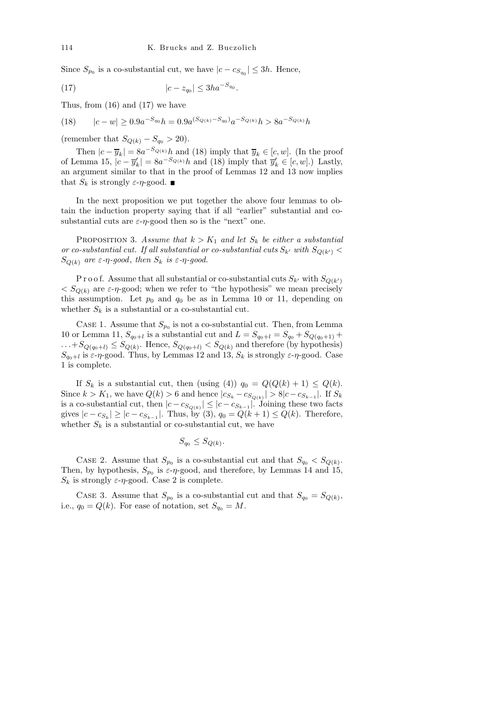Since  $S_{p_0}$  is a co-substantial cut, we have  $|c - c_{S_{q_0}}| \leq 3h$ . Hence,

(17) 
$$
|c - z_{q_0}| \leq 3ha^{-S_{q_0}}.
$$

Thus, from (16) and (17) we have

$$
(18) \qquad |c - w| \ge 0.9a^{-S_{q_0}}h = 0.9a^{(S_{Q(k)} - S_{q_0})}a^{-S_{Q(k)}}h > 8a^{-S_{Q(k)}}h
$$

(remember that  $S_{Q(k)} - S_{q_0} > 20$ ).

Then  $|c - \overline{y}_k| = 8a^{-S_{Q(k)}}h$  and (18) imply that  $\overline{y}_k \in [c, w]$ . (In the proof of Lemma 15,  $|c - \overline{y}'_k| = 8a^{-S_{Q(k)}}h$  and (18) imply that  $\overline{y}'_k \in [c, w]$ .) Lastly, an argument similar to that in the proof of Lemmas 12 and 13 now implies that  $S_k$  is strongly  $\varepsilon$ - $\eta$ -good.

In the next proposition we put together the above four lemmas to obtain the induction property saying that if all "earlier" substantial and cosubstantial cuts are  $\varepsilon$ -η-good then so is the "next" one.

PROPOSITION 3. Assume that  $k > K_1$  and let  $S_k$  be either a substantial or co-substantial cut. If all substantial or co-substantial cuts  $S_{k'}$  with  $S_{Q(k')}$  $S_{Q(k)}$  are  $\varepsilon$ -η-good, then  $S_k$  is  $\varepsilon$ -η-good.

P r o o f. Assume that all substantial or co-substantial cuts  $S_{k'}$  with  $S_{Q(k')}$  $\langle S_{Q(k)} \rangle$  are  $\varepsilon$ -η-good; when we refer to "the hypothesis" we mean precisely this assumption. Let  $p_0$  and  $q_0$  be as in Lemma 10 or 11, depending on whether  $S_k$  is a substantial or a co-substantial cut.

CASE 1. Assume that  $S_{p_0}$  is not a co-substantial cut. Then, from Lemma 10 or Lemma 11,  $S_{q_0+l}$  is a substantial cut and  $L = S_{q_0+l} = S_{q_0} + S_{Q(q_0+1)} +$  $...+S_{Q(q_0+l)} \leq S_{Q(k)}$ . Hence,  $S_{Q(q_0+l)} < S_{Q(k)}$  and therefore (by hypothesis)  $S_{q_0+l}$  is  $\varepsilon$ - $\eta$ -good. Thus, by Lemmas 12 and 13,  $S_k$  is strongly  $\varepsilon$ - $\eta$ -good. Case 1 is complete.

If  $S_k$  is a substantial cut, then (using (4))  $q_0 = Q(Q(k) + 1) \leq Q(k)$ . Since  $k > K_1$ , we have  $Q(k) > 6$  and hence  $|c_{S_k} - c_{S_{Q(k)}}| > 8|c - c_{S_{k-1}}|$ . If  $S_k$ is a co-substantial cut, then  $|c - c_{S_{Q(k)}}| \le |c - c_{S_{k-1}}|$ . Joining these two facts gives  $|c - c_{S_k}| \ge |c - c_{S_{k-1}}|$ . Thus, by (3),  $q_0 = Q(k+1) \le Q(k)$ . Therefore, whether  $S_k$  is a substantial or co-substantial cut, we have

$$
S_{q_0} \le S_{Q(k)}.
$$

CASE 2. Assume that  $S_{p_0}$  is a co-substantial cut and that  $S_{q_0} < S_{Q(k)}$ . Then, by hypothesis,  $S_{p_0}$  is  $\varepsilon$ - $\eta$ -good, and therefore, by Lemmas 14 and 15,  $S_k$  is strongly  $\varepsilon$ - $\eta$ -good. Case 2 is complete.

CASE 3. Assume that  $S_{p_0}$  is a co-substantial cut and that  $S_{q_0} = S_{Q(k)}$ , i.e.,  $q_0 = Q(k)$ . For ease of notation, set  $S_{q_0} = M$ .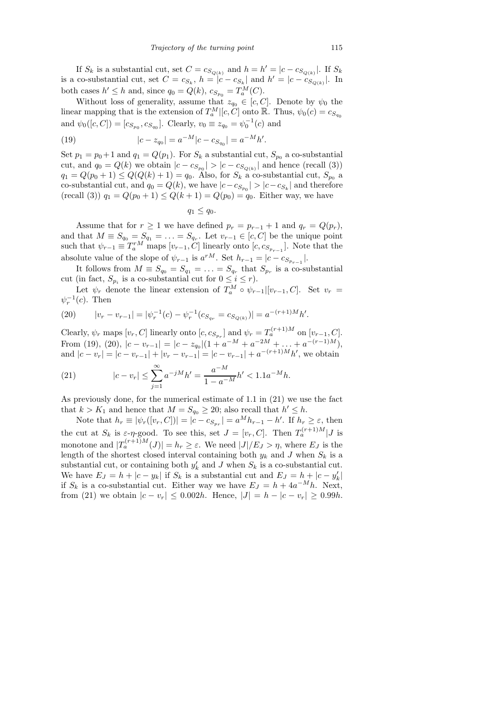If  $S_k$  is a substantial cut, set  $C = c_{S_{Q(k)}}$  and  $h = h' = |c - c_{S_{Q(k)}}|$ . If  $S_k$ is a co-substantial cut, set  $C = c_{S_k}$ ,  $h = |c - c_{S_k}|$  and  $h' = |c - c_{S_{Q(k)}}|$ . In both cases  $h' \leq h$  and, since  $q_0 = Q(k)$ ,  $c_{S_{p_0}} = T_a^M(C)$ .

Without loss of generality, assume that  $z_{q_0} \in [c, C]$ . Denote by  $\psi_0$  the linear mapping that is the extension of  $T_a^M|[c, C]$  onto  $\mathbb{R}$ . Thus,  $\psi_0(c) = c_{S_{q_0}}$ and  $\psi_0([c, C]) = [c_{S_{p_0}}, c_{S_{q_0}}]$ . Clearly,  $v_0 \equiv z_{q_0} = \psi_0^{-1}(c)$  and

(19) 
$$
|c - z_{q_0}| = a^{-M} |c - c_{S_{q_0}}| = a^{-M} h'.
$$

Set  $p_1 = p_0 + 1$  and  $q_1 = Q(p_1)$ . For  $S_k$  a substantial cut,  $S_{p_0}$  a co-substantial cut, and  $q_0 = Q(k)$  we obtain  $|c - c_{S_{p_0}}| > |c - c_{S_{Q(k)}}|$  and hence (recall (3))  $q_1 = Q(p_0 + 1) \leq Q(Q(k) + 1) = q_0$ . Also, for  $S_k$  a co-substantial cut,  $S_{p_0}$  a co-substantial cut, and  $q_0 = Q(k)$ , we have  $|c - c_{S_{p_0}}| > |c - c_{S_k}|$  and therefore (recall (3))  $q_1 = Q(p_0 + 1) \leq Q(k + 1) = Q(p_0) = q_0$ . Either way, we have

 $q_1 \leq q_0$ .

Assume that for  $r \ge 1$  we have defined  $p_r = p_{r-1} + 1$  and  $q_r = Q(p_r)$ , and that  $M \equiv S_{q_0} = S_{q_1} = \ldots = S_{q_r}$ . Let  $v_{r-1} \in [c, C]$  be the unique point such that  $\psi_{r-1} \equiv T_a^{rM}$  maps  $[v_{r-1}, C]$  linearly onto  $[c, c_{S_{p_{r-1}}}]$ . Note that the absolute value of the slope of  $\psi_{r-1}$  is  $a^{rM}$ . Set  $h_{r-1} = |c - c_{S_{p_{r-1}}}|$ .

It follows from  $M \equiv S_{q_0} = S_{q_1} = \ldots = S_{q_r}$  that  $S_{p_r}$  is a co-substantial cut (in fact,  $S_{p_i}$  is a co-substantial cut for  $0 \leq i \leq r$ ).

Let  $\psi_r$  denote the linear extension of  $T_a^M \circ \psi_{r-1} | [v_{r-1}, C]$ . Set  $v_r =$  $\psi_r^{-1}(c)$ . Then

(20) 
$$
|v_r - v_{r-1}| = |\psi_r^{-1}(c) - \psi_r^{-1}(c_{S_{q_r}} = c_{S_{Q(k)}})| = a^{-(r+1)M}h'.
$$

Clearly,  $\psi_r$  maps  $[v_r, C]$  linearly onto  $[c, c_{S_{pr}}]$  and  $\psi_r = T_a^{(r+1)M}$  on  $[v_{r-1}, C]$ . From (19), (20),  $|c - v_{r-1}| = |c - z_{q_0}| (1 + a^{-M} + a^{-2M} + \dots + a^{-(r-1)M}),$ and  $|c - v_r| = |c - v_{r-1}| + |v_r - v_{r-1}| = |c - v_{r-1}| + a^{-(r+1)M}h'$ , we obtain

(21) 
$$
|c - v_r| \le \sum_{j=1}^{\infty} a^{-jM} h' = \frac{a^{-M}}{1 - a^{-M}} h' < 1.1 a^{-M} h.
$$

As previously done, for the numerical estimate of 1.1 in (21) we use the fact that  $k > K_1$  and hence that  $M = S_{q_0} \ge 20$ ; also recall that  $h' \le h$ .

Note that  $h_r \equiv |\psi_r([v_r, C])| = |c - c_{S_{pr}}| = a^M h_{r-1} - h'$ . If  $h_r \geq \varepsilon$ , then the cut at  $S_k$  is  $\varepsilon-\eta$ -good. To see this, set  $J = [v_r, C]$ . Then  $T_a^{(r+1)M}|J$  is monotone and  $|T_a^{(r+1)M}(J)| = h_r \geq \varepsilon$ . We need  $|J|/E_J > \eta$ , where  $E_J$  is the length of the shortest closed interval containing both  $y_k$  and J when  $S_k$  is a substantial cut, or containing both  $y'_k$  and J when  $S_k$  is a co-substantial cut. We have  $E_J = h + |c - y_k|$  if  $S_k$  is a substantial cut and  $E_J = h + |c - y'_k|$ if  $S_k$  is a co-substantial cut. Either way we have  $E_J = h + 4a^{-M}h$ . Next, from (21) we obtain  $|c - v_r| \le 0.002h$ . Hence,  $|J| = h - |c - v_r| \ge 0.99h$ .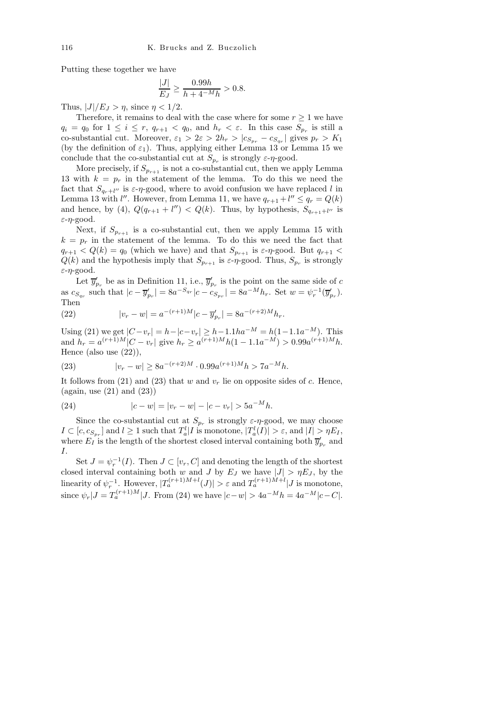Putting these together we have

$$
\frac{|J|}{E_J} \geq \frac{0.99h}{h+4^{-M}h} > 0.8.
$$

Thus,  $|J|/E_J > \eta$ , since  $\eta < 1/2$ .

Therefore, it remains to deal with the case where for some  $r \geq 1$  we have  $q_i = q_0$  for  $1 \leq i \leq r$ ,  $q_{r+1} < q_0$ , and  $h_r < \varepsilon$ . In this case  $S_{p_r}$  is still a co-substantial cut. Moreover,  $\varepsilon_1 > 2\varepsilon > 2h_r > |c_{S_{p_r}} - c_{S_{q_r}}|$  gives  $p_r > K_1$ (by the definition of  $\varepsilon_1$ ). Thus, applying either Lemma 13 or Lemma 15 we conclude that the co-substantial cut at  $S_{p_r}$  is strongly  $\varepsilon$ - $\eta$ -good.

More precisely, if  $S_{p_{r+1}}$  is not a co-substantial cut, then we apply Lemma 13 with  $k = p_r$  in the statement of the lemma. To do this we need the fact that  $S_{q_r+l''}$  is  $\varepsilon$ - $\eta$ -good, where to avoid confusion we have replaced l in Lemma 13 with  $l''$ . However, from Lemma 11, we have  $q_{r+1} + l'' \leq q_r = Q(k)$ and hence, by (4),  $Q(q_{r+1} + l'') < Q(k)$ . Thus, by hypothesis,  $S_{q_{r+1}+l''}$  is  $\varepsilon$ - $\eta$ -good.

Next, if  $S_{p_{r+1}}$  is a co-substantial cut, then we apply Lemma 15 with  $k = p<sub>r</sub>$  in the statement of the lemma. To do this we need the fact that  $q_{r+1} < Q(k) = q_0$  (which we have) and that  $S_{p_{r+1}}$  is  $\varepsilon$ - $\eta$ -good. But  $q_{r+1}$  <  $Q(k)$  and the hypothesis imply that  $S_{p_{r+1}}$  is  $\varepsilon$ - $\eta$ -good. Thus,  $S_{p_r}$  is strongly ε-η-good.

Let  $\overline{y}'_{p_r}$  be as in Definition 11, i.e.,  $\overline{y}'_{p_r}$  is the point on the same side of c as  $c_{S_{q_r}}$  such that  $|c - \overline{y}'_{p_r}| = 8a^{-S_{q_r}}|c - c_{S_{p_r}}| = 8a^{-M}h_r$ . Set  $w = \psi_r^{-1}(\overline{y}'_{p_r})$ . Then

(22) 
$$
|v_r - w| = a^{-(r+1)M} |c - \overline{y}'_{p_r}| = 8a^{-(r+2)M} h_r.
$$

Using (21) we get  $|C-v_r| = h-|c-v_r| \geq h-1.1ha^{-M} = h(1-1.1a^{-M}).$  This and  $h_r = a^{(r+1)M}|C - v_r|$  give  $h_r \ge a^{(r+1)M}h(1 - 1.1a^{-M}) > 0.99a^{(r+1)M}h$ . Hence (also use (22)),

(23) 
$$
|v_r - w| \ge 8a^{-(r+2)M} \cdot 0.99a^{(r+1)M}h > 7a^{-M}h.
$$

It follows from (21) and (23) that w and  $v_r$  lie on opposite sides of c. Hence,  $(again, use (21) and (23))$ 

(24) 
$$
|c - w| = |v_r - w| - |c - v_r| > 5a^{-M}h.
$$

Since the co-substantial cut at  $S_{p_r}$  is strongly  $\varepsilon$ - $\eta$ -good, we may choose  $I \subset [c, c_{S_{p_r}}]$  and  $l \geq 1$  such that  $T_a^l | I$  is monotone,  $|T_a^l(I)| > \varepsilon$ , and  $|I| > \eta E_I$ , where  $E_I$  is the length of the shortest closed interval containing both  $\overline{y}'_{p_r}$  and I.

Set  $J = \psi_r^{-1}(I)$ . Then  $J \subset [v_r, C]$  and denoting the length of the shortest closed interval containing both w and J by  $E_J$  we have  $|J| > \eta E_J$ , by the linearity of  $\psi_r^{-1}$ . However,  $|T_a^{(r+1)M+l}(J)| > \varepsilon$  and  $T_a^{(r+1)M+l}|J$  is monotone, since  $\psi_r|J = T_a^{(r+1)M} |J$ . From (24) we have  $|c-w| > 4a^{-M}h = 4a^{-M}|c-C|$ .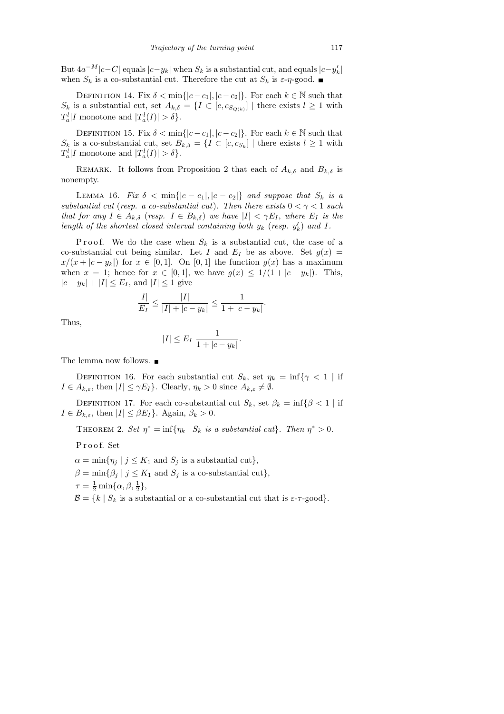But  $4a^{-M}|c-C|$  equals  $|c-y_k|$  when  $S_k$  is a substantial cut, and equals  $|c-y'_k|$ when  $S_k$  is a co-substantial cut. Therefore the cut at  $S_k$  is  $\varepsilon$ - $\eta$ -good.

DEFINITION 14. Fix  $\delta < \min\{|c - c_1|, |c - c_2|\}$ . For each  $k \in \mathbb{N}$  such that  $S_k$  is a substantial cut, set  $A_{k,\delta} = \{I \subset [c, c_{S_{Q(k)}}] \mid \text{there exists } l \geq 1 \text{ with }$  $T_a^l | I$  monotone and  $|T_a^l(I)| > \delta$ .

DEFINITION 15. Fix  $\delta < \min\{|c - c_1|, |c - c_2|\}$ . For each  $k \in \mathbb{N}$  such that  $S_k$  is a co-substantial cut, set  $B_{k,\delta} = \{I \subset [c, c_{S_k}] \mid \text{there exists } l \geq 1 \text{ with }$  $T_a^l | I$  monotone and  $|T_a^l(I)| > \delta$ .

REMARK. It follows from Proposition 2 that each of  $A_{k,\delta}$  and  $B_{k,\delta}$  is nonempty.

LEMMA 16. Fix  $\delta < \min\{|c - c_1|, |c - c_2|\}$  and suppose that  $S_k$  is a substantial cut (resp. a co-substantial cut). Then there exists  $0 < \gamma < 1$  such that for any  $I \in A_{k,\delta}$  (resp.  $I \in B_{k,\delta}$ ) we have  $|I| < \gamma E_I$ , where  $E_I$  is the length of the shortest closed interval containing both  $y_k$  (resp.  $y'_k$ ) and I.

P r o o f. We do the case when  $S_k$  is a substantial cut, the case of a co-substantial cut being similar. Let I and  $E_I$  be as above. Set  $g(x)$  =  $x/(x + |c - y_k|)$  for  $x \in [0, 1]$ . On  $[0, 1]$  the function  $g(x)$  has a maximum when  $x = 1$ ; hence for  $x \in [0,1]$ , we have  $g(x) \leq 1/(1+|c-y_k|)$ . This,  $|c - y_k| + |I| \leq E_I$ , and  $|I| \leq 1$  give

$$
\frac{|I|}{E_I} \le \frac{|I|}{|I| + |c - y_k|} \le \frac{1}{1 + |c - y_k|}.
$$

Thus,

$$
|I| \le E_I \frac{1}{1+|c-y_k|}.
$$

The lemma now follows.

DEFINITION 16. For each substantial cut  $S_k$ , set  $\eta_k = \inf\{\gamma < 1 \mid \text{if}$  $I \in A_{k,\varepsilon}$ , then  $|I| \leq \gamma E_I$ . Clearly,  $\eta_k > 0$  since  $A_{k,\varepsilon} \neq \emptyset$ .

DEFINITION 17. For each co-substantial cut  $S_k$ , set  $\beta_k = \inf \{ \beta < 1 \mid \text{if}$  $I \in B_{k,\varepsilon}$ , then  $|I| \leq \beta E_I$ . Again,  $\beta_k > 0$ .

THEOREM 2. Set  $\eta^* = \inf \{ \eta_k \mid S_k \text{ is a substantial cut} \}.$  Then  $\eta^* > 0$ .

P r o o f. Set

 $\alpha = \min\{\eta_i \mid j \leq K_1 \text{ and } S_i \text{ is a substantial cut}\},\$ 

 $\beta = \min\{\beta_j \mid j \leq K_1 \text{ and } S_j \text{ is a co-substantial cut}\},\$ 

 $\tau = \frac{1}{2} \min{\{\alpha, \beta, \frac{1}{2}\}},$ 

 $\mathcal{B} = \{k \mid S_k \text{ is a substantial or a co-substantial cut that is } \varepsilon\text{-r-good}\}.$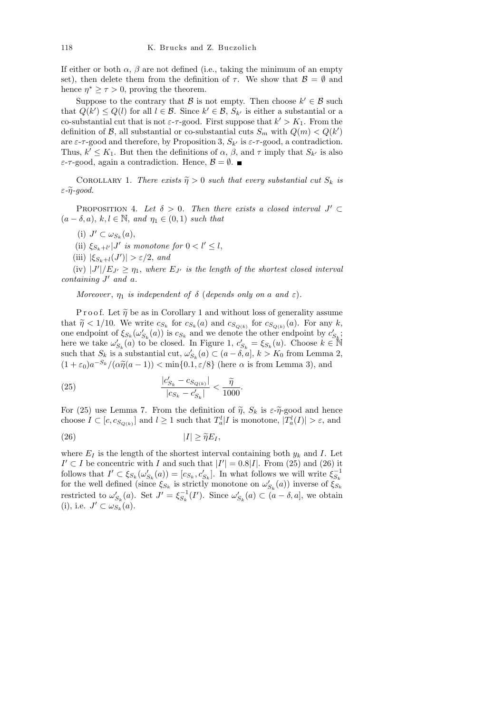If either or both  $\alpha$ ,  $\beta$  are not defined (i.e., taking the minimum of an empty set), then delete them from the definition of  $\tau$ . We show that  $\mathcal{B} = \emptyset$  and hence  $\eta^* \geq \tau > 0$ , proving the theorem.

Suppose to the contrary that  $\beta$  is not empty. Then choose  $k' \in \beta$  such that  $Q(k') \leq Q(l)$  for all  $l \in \mathcal{B}$ . Since  $k' \in \mathcal{B}$ ,  $S_{k'}$  is either a substantial or a co-substantial cut that is not  $\varepsilon$ - $\tau$ -good. First suppose that  $k' > K_1$ . From the definition of  $\mathcal{B}$ , all substantial or co-substantial cuts  $S_m$  with  $Q(m) < Q(k')$ are  $\varepsilon$ - $\tau$ -good and therefore, by Proposition 3,  $S_{k'}$  is  $\varepsilon$ - $\tau$ -good, a contradiction. Thus,  $k' \leq K_1$ . But then the definitions of  $\alpha$ ,  $\beta$ , and  $\tau$  imply that  $S_{k'}$  is also  $\varepsilon$ - $\tau$ -good, again a contradiction. Hence,  $\mathcal{B} = \emptyset$ .

COROLLARY 1. There exists  $\tilde{\eta} > 0$  such that every substantial cut  $S_k$  is  $\varepsilon$ - $\widetilde{\eta}$ -good.

PROPOSITION 4. Let  $\delta > 0$ . Then there exists a closed interval  $J' \subset$  $(a - \delta, a), k, l \in \mathbb{N}$ , and  $\eta_1 \in (0, 1)$  such that

(i)  $J' \subset \omega_{S_k}(a)$ ,

(ii)  $\xi_{S_k+l'}|J'$  is monotone for  $0 < l' \leq l$ ,

(iii)  $|\xi_{S_k+l}(J')| > \varepsilon/2$ , and

(iv)  $|J'|/E_{J'} \geq \eta_1$ , where  $E_{J'}$  is the length of the shortest closed interval containing  $J'$  and a.

Moreover,  $\eta_1$  is independent of  $\delta$  (depends only on a and  $\varepsilon$ ).

P r o o f. Let  $\tilde{\eta}$  be as in Corollary 1 and without loss of generality assume that  $\widetilde{\eta} < 1/10$ . We write  $c_{S_k}$  for  $c_{S_k}(a)$  and  $c_{S_{Q(k)}}$  for  $c_{S_{Q(k)}}(a)$ . For any k, one endpoint of  $\xi_{S_k}(\omega'_{S_k}(a))$  is  $c_{S_k}$  and we denote the other endpoint by  $c'_{S_k}$ ; here we take  $\omega'_{S_k}(a)$  to be closed. In Figure 1,  $c'_{S_k} = \xi_{S_k}(u)$ . Choose  $k \in \mathbb{N}$ such that  $S_k$  is a substantial cut,  $\omega'_{S_k}(a) \subset (a - \delta, a], k > K_0$  from Lemma 2,  $(1+\varepsilon_0)a^{-S_k}/(\alpha\tilde{\eta}(a-1)) < \min\{0.1, \varepsilon/8\}$  (here  $\alpha$  is from Lemma 3), and

(25) 
$$
\frac{|c'_{S_k} - c_{S_{Q(k)}}|}{|c_{S_k} - c'_{S_k}|} < \frac{\widetilde{\eta}}{1000}.
$$

For (25) use Lemma 7. From the definition of  $\tilde{\eta}$ ,  $S_k$  is  $\varepsilon \tilde{\eta}$ -good and hence choose  $I \subset [c, c_{S_{Q(k)}}]$  and  $l \geq 1$  such that  $T_a^l | I$  is monotone,  $|T_a^l(I)| > \varepsilon$ , and

$$
|I| \geq \widetilde{\eta} E_I,
$$

where  $E_I$  is the length of the shortest interval containing both  $y_k$  and I. Let  $I' ⊂ I$  be concentric with I and such that  $|I'| = 0.8|I|$ . From (25) and (26) it follows that  $I' \subset \xi_{S_k}(\omega'_{S_k}(a)) = [c_{S_k}, c'_{S_k}]$ . In what follows we will write  $\xi_{S_k}^{-1}$ for the well defined (since  $\xi_{S_k}$  is strictly monotone on  $\omega'_{S_k}(a)$ ) inverse of  $\tilde{\xi_{S_k}}$ restricted to  $\omega'_{S_k}(a)$ . Set  $J' = \xi_{S_k}^{-1}(I')$ . Since  $\omega'_{S_k}(a) \subset (a - \delta, a]$ , we obtain (i), i.e.  $J' \subset \omega_{S_k}^{n}(\alpha)$ .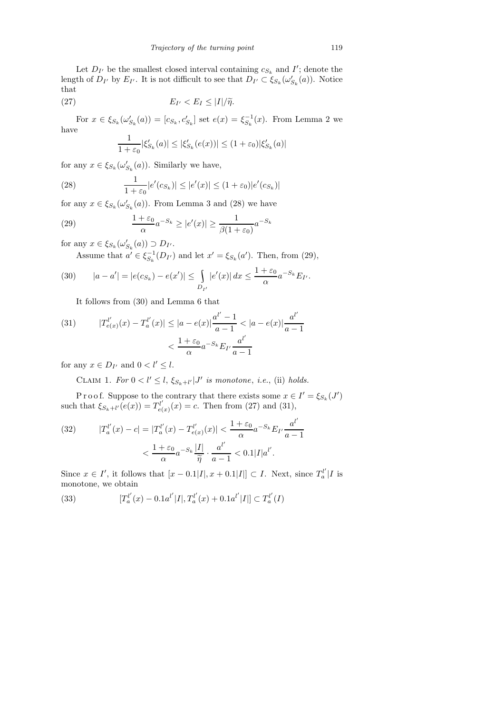Let  $D_{I'}$  be the smallest closed interval containing  $c_{S_k}$  and  $I'$ ; denote the length of  $D_{I'}$  by  $E_{I'}$ . It is not difficult to see that  $D_{I'} \subset \xi_{S_k}(\omega'_{S_k}(a))$ . Notice that

(27) 
$$
E_{I'} < E_I \leq |I|/\widetilde{\eta}.
$$

For  $x \in \xi_{S_k}(\omega'_{S_k}(a)) = [c_{S_k}, c'_{S_k}]$  set  $e(x) = \xi_{S_k}^{-1}(x)$ . From Lemma 2 we have

$$
\frac{1}{1+\varepsilon_0} |\xi'_{S_k}(a)| \le |\xi'_{S_k}(e(x))| \le (1+\varepsilon_0) |\xi'_{S_k}(a)|
$$

for any  $x \in \xi_{S_k}(\omega'_{S_k}(a))$ . Similarly we have,

(28) 
$$
\frac{1}{1+\varepsilon_0}|e'(c_{S_k})| \le |e'(x)| \le (1+\varepsilon_0)|e'(c_{S_k})|
$$

for any  $x \in \xi_{S_k}(\omega'_{S_k}(a))$ . From Lemma 3 and (28) we have

(29) 
$$
\frac{1+\varepsilon_0}{\alpha}a^{-S_k} \ge |e'(x)| \ge \frac{1}{\beta(1+\varepsilon_0)}a^{-S_k}
$$

for any  $x \in \xi_{S_k}(\omega'_{S_k}(a)) \supset D_{I'}$ .

Assume that  $a' \in \xi_{S_k}^{-1}(D_{I'})$  and let  $x' = \xi_{S_k}(a')$ . Then, from (29),

(30) 
$$
|a - a'| = |e(c_{S_k}) - e(x')| \le \int_{D_{I'}} |e'(x)| dx \le \frac{1 + \varepsilon_0}{\alpha} a^{-S_k} E_{I'}.
$$

It follows from (30) and Lemma 6 that

(31) 
$$
|T_{e(x)}^{l'}(x) - T_a^{l'}(x)| \le |a - e(x)| \frac{a^{l'} - 1}{a - 1} < |a - e(x)| \frac{a^{l'}}{a - 1} < \frac{1 + \varepsilon_0}{\alpha} a^{-S_k} E_{I'} \frac{a^{l'}}{a - 1}
$$

for any  $x \in D_{I'}$  and  $0 < l' \leq l$ .

CLAIM 1. For  $0 < l' \leq l$ ,  $\xi_{S_k+l'} | J'$  is monotone, i.e., (ii) holds.

P r o o f. Suppose to the contrary that there exists some  $x \in I' = \xi_{S_k}(J')$ such that  $\xi_{S_k+l'}(e(x))=T_{e(k)}^{l'}$  $e_{e(x)}^{u'}(x) = c$ . Then from (27) and (31),

(32) 
$$
|T_a^{l'}(x) - c| = |T_a^{l'}(x) - T_{e(x)}^{l'}(x)| < \frac{1 + \varepsilon_0}{\alpha} a^{-S_k} E_{I'} \frac{a^{l'}}{a - 1} < \frac{1 + \varepsilon_0}{\alpha} a^{-S_k} \frac{|I|}{\tilde{\eta}} \cdot \frac{a^{l'}}{a - 1} < 0.1 |I| a^{l'}.
$$

Since  $x \in I'$ , it follows that  $[x - 0.1]I, x + 0.1]I$   $\subset I$ . Next, since  $T_a^{l'}$  $\binom{u}{a}$  | I is monotone, we obtain

(33) 
$$
[T_a^{l'}(x) - 0.1a^{l'}|I|, T_a^{l'}(x) + 0.1a^{l'}|I|] \subset T_a^{l'}(I)
$$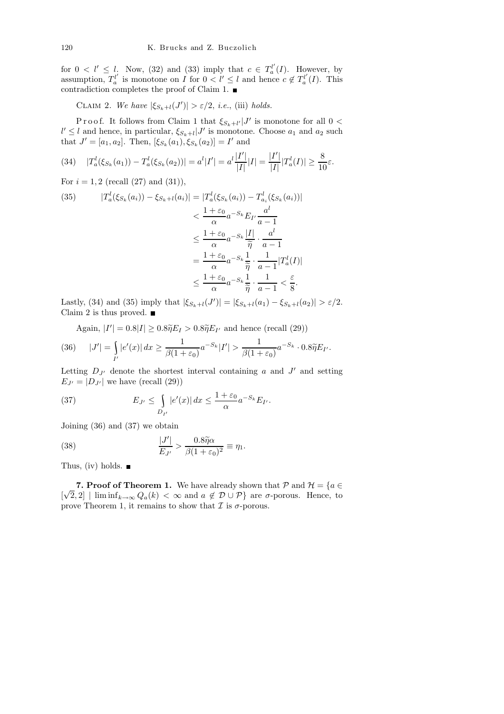for  $0 < l' \leq l$ . Now, (32) and (33) imply that  $c \in T_a^{l'}$  $a^{\prime}(I)$ . However, by assumption,  $T_a^{l'}$  $a_i^{l'}$  is monotone on I for  $0 < l' \le l$  and hence  $c \notin T_a^{l'}$  $a^{\prime\prime}(I)$ . This contradiction completes the proof of Claim 1.

CLAIM 2. We have  $|\xi_{S_k+l}(J')| > \varepsilon/2$ , *i.e.*, (iii) holds.

Proof. It follows from Claim 1 that  $\xi_{S_k+l'}|J'$  is monotone for all  $0 <$  $l' \leq l$  and hence, in particular,  $\xi_{S_k+l} | J'$  is monotone. Choose  $a_1$  and  $a_2$  such that  $J' = [a_1, a_2]$ . Then,  $[\xi_{S_k}(a_1), \xi_{S_k}(a_2)] = I'$  and

$$
(34) \quad |T_a^l(\xi_{S_k}(a_1)) - T_a^l(\xi_{S_k}(a_2))| = a^l|I'| = a^l\frac{|I'|}{|I|}|I| = \frac{|I'|}{|I|}|T_a^l(I)| \ge \frac{8}{10}\varepsilon.
$$

For  $i = 1, 2$  (recall  $(27)$  and  $(31)$ ),

(35) 
$$
|T_a^l(\xi_{S_k}(a_i)) - \xi_{S_k+l}(a_i)| = |T_a^l(\xi_{S_k}(a_i)) - T_{a_i}^l(\xi_{S_k}(a_i))|
$$

$$
< \frac{1+\varepsilon_0}{\alpha} a^{-S_k} E_{I'} \frac{a^l}{a-1}
$$

$$
\leq \frac{1+\varepsilon_0}{\alpha} a^{-S_k} \frac{|I|}{\tilde{\eta}} \cdot \frac{a^l}{a-1}
$$

$$
= \frac{1+\varepsilon_0}{\alpha} a^{-S_k} \frac{1}{\tilde{\eta}} \cdot \frac{1}{a-1} |T_a^l(I)|
$$

$$
\leq \frac{1+\varepsilon_0}{\alpha} a^{-S_k} \frac{1}{\tilde{\eta}} \cdot \frac{1}{a-1} < \frac{\varepsilon}{8}.
$$

Lastly, (34) and (35) imply that  $|\xi_{S_k+l}(J')| = |\xi_{S_k+l}(a_1) - \xi_{S_k+l}(a_2)| > \varepsilon/2$ . Claim 2 is thus proved.  $\blacksquare$ 

Again,  $|I'| = 0.8|I| \geq 0.8\tilde{\eta}E_I > 0.8\tilde{\eta}E_{I'}$  and hence (recall (29))

(36) 
$$
|J'| = \int_{I'} |e'(x)| dx \ge \frac{1}{\beta(1+\varepsilon_0)} a^{-S_k} |I'| > \frac{1}{\beta(1+\varepsilon_0)} a^{-S_k} \cdot 0.8 \widetilde{\eta} E_{I'}.
$$

Letting  $D_{J'}$  denote the shortest interval containing a and  $J'$  and setting  $E_{J'} = |D_{J'}|$  we have (recall (29))

(37) 
$$
E_{J'} \leq \int_{D_{I'}} |e'(x)| dx \leq \frac{1+\varepsilon_0}{\alpha} a^{-S_k} E_{I'}.
$$

Joining (36) and (37) we obtain

(38) 
$$
\frac{|J'|}{E_{J'}} > \frac{0.8\tilde{\eta}\alpha}{\beta(1+\varepsilon_0)^2} \equiv \eta_1.
$$

Thus, (iv) holds.  $\blacksquare$ 

**7. Proof of Theorem 1.** We have already shown that  $P$  and  $H = \{a \in \mathbb{R}\}$ [ $\sqrt{2}$ , 2] | lim inf<sub>k→∞</sub>  $Q_a(k) < \infty$  and  $a \notin D \cup P$ } are  $\sigma$ -porous. Hence, to prove Theorem 1, it remains to show that  $\mathcal I$  is  $\sigma$ -porous.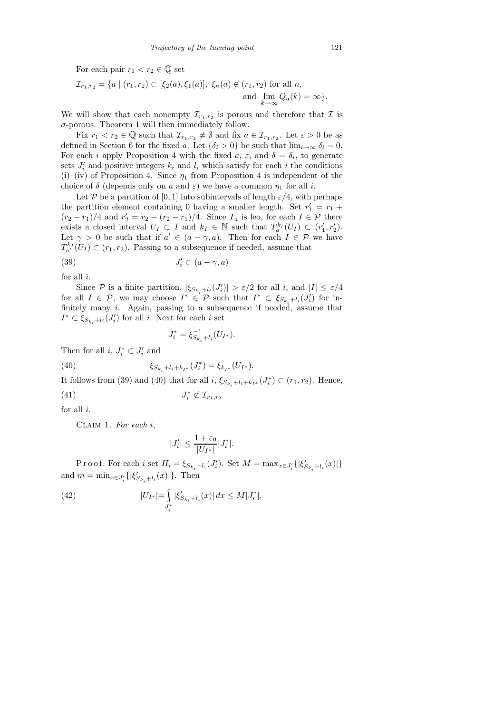For each pair  $r_1 < r_2 \in \mathbb{Q}$  set

$$
\mathcal{I}_{r_1,r_2} = \{ a \mid (r_1,r_2) \subset [\xi_2(a), \xi_1(a)], \xi_n(a) \notin (r_1,r_2) \text{ for all } n, \text{ and } \lim_{k \to \infty} Q_a(k) = \infty \}.
$$

We will show that each nonempty  $\mathcal{I}_{r_1,r_2}$  is porous and therefore that  $\mathcal I$  is  $\sigma$ -porous. Theorem 1 will then immediately follow.

Fix  $r_1 < r_2 \in \mathbb{Q}$  such that  $\mathcal{I}_{r_1,r_2} \neq \emptyset$  and fix  $a \in \mathcal{I}_{r_1,r_2}$ . Let  $\varepsilon > 0$  be as defined in Section 6 for the fixed a. Let  $\{\delta_i > 0\}$  be such that  $\lim_{i\to\infty} \delta_i = 0$ . For each *i* apply Proposition 4 with the fixed  $a, \varepsilon$ , and  $\delta = \delta_i$ , to generate sets  $J_i'$  and positive integers  $k_i$  and  $l_i$  which satisfy for each i the conditions (i)–(iv) of Proposition 4. Since  $\eta_1$  from Proposition 4 is independent of the choice of  $\delta$  (depends only on a and  $\varepsilon$ ) we have a common  $\eta_1$  for all i.

Let P be a partition of [0, 1] into subintervals of length  $\varepsilon/4$ , with perhaps the partition element containing 0 having a smaller length. Set  $r'_1 = r_1 +$  $(r_2 - r_1)/4$  and  $r'_2 = r_2 - (r_2 - r_1)/4$ . Since  $T_a$  is leo, for each  $I \in \mathcal{P}$  there exists a closed interval  $U_I \subset I$  and  $k_I \in \mathbb{N}$  such that  $T_a^{k_I}(U_I) \subset (r'_1, r'_2)$ . Let  $\gamma > 0$  be such that if  $a' \in (a - \gamma, a)$ . Then for each  $I \in \mathcal{P}$  we have  $T_{a'}^{k_I}(U_I) \subset (r_1, r_2)$ . Passing to a subsequence if needed, assume that

(39) 
$$
J'_i \subset (a - \gamma, a)
$$

for all  $i$ .

Since P is a finite partition,  $|\xi_{S_{k_i}+l_i}(J_i')| > \varepsilon/2$  for all i, and  $|I| \leq \varepsilon/4$ for all  $I \in \mathcal{P}$ , we may choose  $I^* \in \mathcal{P}$  such that  $I^* \subset \xi_{S_{k_i}+l_i}(J'_i)$  for infinitely many i. Again, passing to a subsequence if needed, assume that  $I^* \subset \xi_{S_{k_i}+l_i}(J'_i)$  for all *i*. Next for each *i* set

$$
J_i^* = \xi_{S_{k_i} + l_i}^{-1}(U_{I^*}).
$$

Then for all  $i, J_i^* \subset J_i'$  and

(40) 
$$
\xi_{S_{k_i}+l_i+k_{I^*}}(J_i^*)=\xi_{k_{I^*}}(U_{I^*}).
$$

It follows from (39) and (40) that for all  $i$ ,  $\xi_{S_{k_i}+l_i+k_{I^*}}(J_i^*) \subset (r_1, r_2)$ . Hence,

$$
(41) \t\t J_i^* \not\subset \mathcal{I}_{r_1, r_2}
$$

for all  $i$ .

CLAIM 1. For each  $i$ ,

$$
|J_i'| \le \frac{1+\varepsilon_0}{|U_{I^*}|} |J_i^*|.
$$

Proof. For each i set  $H_i = \xi_{S_{k_i}+l_i}(J'_i)$ . Set  $M = \max_{x \in J'_i} \{|\xi'_{S_{k_i}+l_i}(x)|\}$ and  $m = \min_{x \in J_i'} \{ |\xi'_{S_{k_i} + l_i}(x)| \}.$  Then

(42) 
$$
|U_{I^*}| = \int_{J_i^*} |\xi'_{S_{k_i}+l_i}(x)| dx \le M|J_i^*|,
$$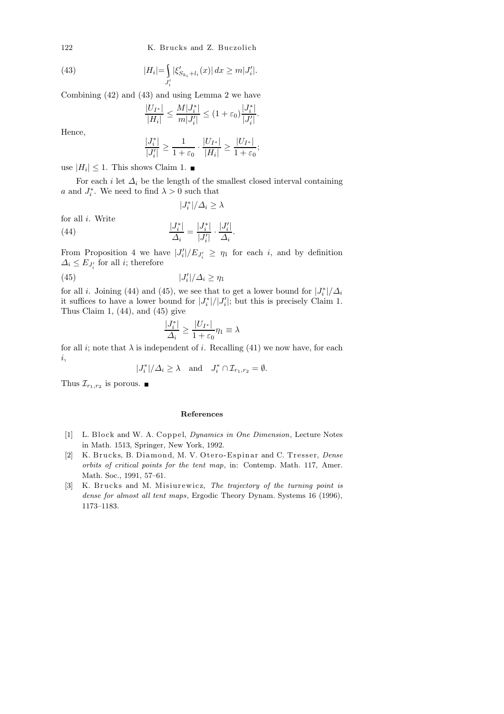122 K. Brucks and Z. Buczolich

(43) 
$$
|H_i| = \int_{J_i'} |\xi'_{S_{k_i}+l_i}(x)| dx \ge m|J_i'|.
$$

Combining (42) and (43) and using Lemma 2 we have

$$
\frac{|U_{I^*}|}{|H_i|} \le \frac{M|J_i^*|}{m|J_i'|} \le (1+\varepsilon_0) \frac{|J_i^*|}{|J_i'|}
$$

.

Hence,

$$
\frac{|J_i^*|}{|J_i'|} \ge \frac{1}{1+\varepsilon_0} \cdot \frac{|U_{I^*}|}{|H_i|} \ge \frac{|U_{I^*}|}{1+\varepsilon_0};
$$

use  $|H_i| \leq 1$ . This shows Claim 1.

For each *i* let  $\Delta_i$  be the length of the smallest closed interval containing a and  $J_i^*$ . We need to find  $\lambda > 0$  such that

$$
|J_i^*|/\varDelta_i \geq \lambda
$$

for all i. Write

(44) 
$$
\frac{|J_i^*|}{\Delta_i} = \frac{|J_i^*|}{|J_i'|} \cdot \frac{|J_i'|}{\Delta_i}.
$$

From Proposition 4 we have  $|J_i'|/E_{J_i'} \geq \eta_1$  for each i, and by definition  $\Delta_i \leq E_{J_i'}$  for all *i*; therefore

$$
(45) \t\t |J_i'|/\Delta_i \ge \eta_1
$$

for all *i*. Joining (44) and (45), we see that to get a lower bound for  $|J_i^*|/\Delta_i$ it suffices to have a lower bound for  $|J_i^*|/|J_i'|$ ; but this is precisely Claim 1. Thus Claim 1,  $(44)$ , and  $(45)$  give

$$
\frac{|J_i^*|}{\varDelta_i} \geq \frac{|U_{I^*}|}{1+\varepsilon_0}\eta_1 \equiv \lambda
$$

for all *i*; note that  $\lambda$  is independent of *i*. Recalling (41) we now have, for each i,

$$
|J_i^*|/\Delta_i \ge \lambda \quad \text{and} \quad J_i^* \cap \mathcal{I}_{r_1,r_2} = \emptyset.
$$

Thus  $\mathcal{I}_{r_1,r_2}$  is porous.

## **References**

- [1] L. Block and W. A. Coppel, *Dynamics in One Dimension*, Lecture Notes in Math. 1513, Springer, New York, 1992.
- [2] K. Brucks, B. Diamond, M. V. Otero-Espinar and C. Tresser, *Dense orbits of critical points for the tent map*, in: Contemp. Math. 117, Amer. Math. Soc., 1991, 57–61.
- [3] K. Brucks and M. Misiurewicz, *The trajectory of the turning point is dense for almost all tent maps*, Ergodic Theory Dynam. Systems 16 (1996), 1173–1183.